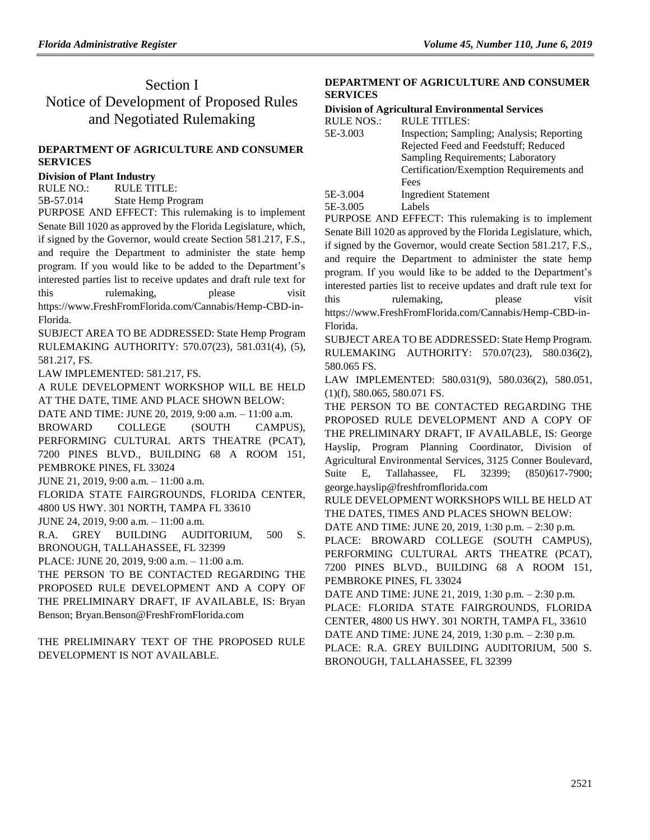# Section I Notice of Development of Proposed Rules and Negotiated Rulemaking

## **[DEPARTMENT OF AGRICULTURE](https://www.flrules.org/gateway/department.asp?id=5) AND CONSUMER [SERVICES](https://www.flrules.org/gateway/department.asp?id=5)**

### **[Division of Plant Industry](https://www.flrules.org/gateway/organization.asp?id=162)**

RULE NO.: RULE TITLE:

[5B-57.014](https://www.flrules.org/gateway/ruleNo.asp?id=5B-57.014) State Hemp Program

PURPOSE AND EFFECT: This rulemaking is to implement Senate Bill 1020 as approved by the Florida Legislature, which, if signed by the Governor, would create Section 581.217, F.S., and require the Department to administer the state hemp program. If you would like to be added to the Department's interested parties list to receive updates and draft rule text for this rulemaking, please visit https://www.FreshFromFlorida.com/Cannabis/Hemp-CBD-in-Florida.

SUBJECT AREA TO BE ADDRESSED: State Hemp Program RULEMAKING AUTHORITY: [570.07\(23\),](https://www.flrules.org/gateway/statute.asp?id=570.07(23)) [581.031\(4\),](https://www.flrules.org/gateway/statute.asp?id=%20581.031(4)) (5), [581.217,](https://www.flrules.org/gateway/statute.asp?id=%20581.217) FS.

LAW IMPLEMENTED: [581.217, FS.](https://www.flrules.org/gateway/cfr.asp?id=581.217,%20F.S)

A RULE DEVELOPMENT WORKSHOP WILL BE HELD AT THE DATE, TIME AND PLACE SHOWN BELOW:

DATE AND TIME: JUNE 20, 2019, 9:00 a.m. – 11:00 a.m.

BROWARD COLLEGE (SOUTH CAMPUS), PERFORMING CULTURAL ARTS THEATRE (PCAT), 7200 PINES BLVD., BUILDING 68 A ROOM 151, PEMBROKE PINES, FL 33024

JUNE 21, 2019, 9:00 a.m. – 11:00 a.m.

FLORIDA STATE FAIRGROUNDS, FLORIDA CENTER,

4800 US HWY. 301 NORTH, TAMPA FL 33610

JUNE 24, 2019, 9:00 a.m. – 11:00 a.m.

R.A. GREY BUILDING AUDITORIUM, 500 S. BRONOUGH, TALLAHASSEE, FL 32399

PLACE: JUNE 20, 2019, 9:00 a.m. – 11:00 a.m.

THE PERSON TO BE CONTACTED REGARDING THE PROPOSED RULE DEVELOPMENT AND A COPY OF THE PRELIMINARY DRAFT, IF AVAILABLE, IS: Bryan Benson; Bryan.Benson@FreshFromFlorida.com

THE PRELIMINARY TEXT OF THE PROPOSED RULE DEVELOPMENT IS NOT AVAILABLE.

## **[DEPARTMENT OF AGRICULTURE AND CONSUMER](https://www.flrules.org/gateway/department.asp?id=5)  [SERVICES](https://www.flrules.org/gateway/department.asp?id=5)**

#### **[Division of Agricultural Environmental Services](https://www.flrules.org/gateway/organization.asp?id=165)**  $RU \cup R$   $\Omega$ . DIII E TITLES:

| NULE NUS | NULE HILES.                               |
|----------|-------------------------------------------|
| 5E-3.003 | Inspection; Sampling; Analysis; Reporting |
|          | Rejected Feed and Feedstuff; Reduced      |
|          | Sampling Requirements; Laboratory         |
|          | Certification/Exemption Requirements and  |
|          | Fees                                      |
| 5E-3.004 | <b>Ingredient Statement</b>               |
| 5E-3.005 | Labels                                    |

PURPOSE AND EFFECT: This rulemaking is to implement Senate Bill 1020 as approved by the Florida Legislature, which, if signed by the Governor, would create Section 581.217, F.S., and require the Department to administer the state hemp program. If you would like to be added to the Department's interested parties list to receive updates and draft rule text for this rulemaking, please visit https://www.FreshFromFlorida.com/Cannabis/Hemp-CBD-in-Florida.

SUBJECT AREA TO BE ADDRESSED: State Hemp Program. RULEMAKING AUTHORITY: [570.07\(23\),](https://www.flrules.org/gateway/statute.asp?id=570.07(23)) [580.036\(2\),](https://www.flrules.org/gateway/statute.asp?id=%20580.036(2)) [580.065 FS.](https://www.flrules.org/gateway/statute.asp?id=%20580.065%20FS.)

LAW IMPLEMENTED: [580.031\(9\), 580.036\(2\), 580.051,](https://www.flrules.org/gateway/cfr.asp?id=580.031(9),%20580.036(2),%20580.051,%20(1)(f),%20580.065,%20580.071,%20580.081,%20580.091,%20580.111,%20580.112,%20580.121,%20580.131,%20581.217(3)(e),%20(7)%20FS)  [\(1\)\(f\), 580.065, 580.071 FS.](https://www.flrules.org/gateway/cfr.asp?id=580.031(9),%20580.036(2),%20580.051,%20(1)(f),%20580.065,%20580.071,%20580.081,%20580.091,%20580.111,%20580.112,%20580.121,%20580.131,%20581.217(3)(e),%20(7)%20FS)

THE PERSON TO BE CONTACTED REGARDING THE PROPOSED RULE DEVELOPMENT AND A COPY OF THE PRELIMINARY DRAFT, IF AVAILABLE, IS: George Hayslip, Program Planning Coordinator, Division of Agricultural Environmental Services, 3125 Conner Boulevard, Suite E, Tallahassee, FL 32399; (850)617-7900; [george.hayslip@freshfromflorida.com](mailto:george.hayslip@freshfromflorida.com)

RULE DEVELOPMENT WORKSHOPS WILL BE HELD AT THE DATES, TIMES AND PLACES SHOWN BELOW:

DATE AND TIME: JUNE 20, 2019, 1:30 p.m. – 2:30 p.m.

PLACE: BROWARD COLLEGE (SOUTH CAMPUS), PERFORMING CULTURAL ARTS THEATRE (PCAT), 7200 PINES BLVD., BUILDING 68 A ROOM 151, PEMBROKE PINES, FL 33024

DATE AND TIME: JUNE 21, 2019, 1:30 p.m. – 2:30 p.m. PLACE: FLORIDA STATE FAIRGROUNDS, FLORIDA CENTER, 4800 US HWY. 301 NORTH, TAMPA FL, 33610 DATE AND TIME: JUNE 24, 2019, 1:30 p.m. – 2:30 p.m. PLACE: R.A. GREY BUILDING AUDITORIUM, 500 S.

BRONOUGH, TALLAHASSEE, FL 32399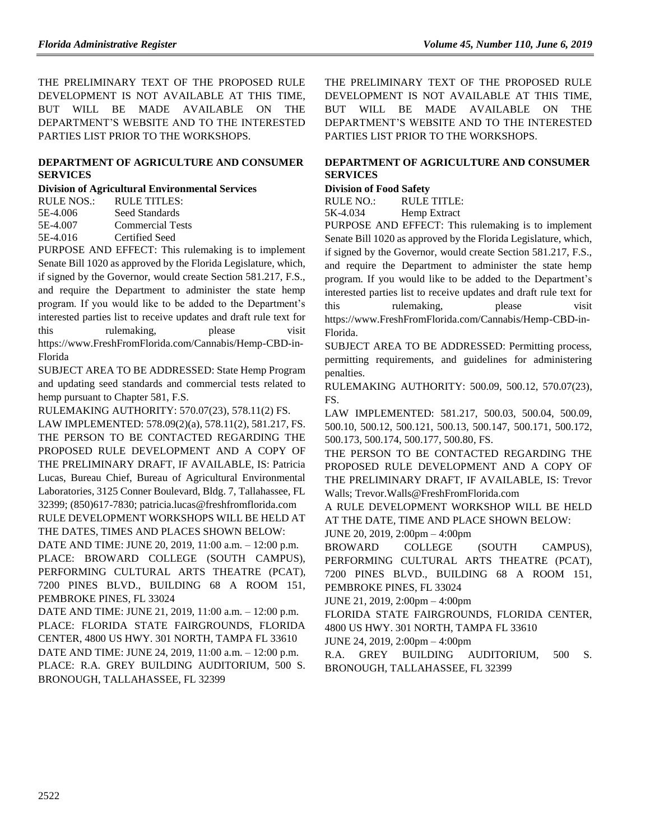THE PRELIMINARY TEXT OF THE PROPOSED RULE DEVELOPMENT IS NOT AVAILABLE AT THIS TIME, BUT WILL BE MADE AVAILABLE ON THE DEPARTMENT'S WEBSITE AND TO THE INTERESTED PARTIES LIST PRIOR TO THE WORKSHOPS.

## **[DEPARTMENT OF AGRICULTURE](https://www.flrules.org/gateway/department.asp?id=5) AND CONSUMER [SERVICES](https://www.flrules.org/gateway/department.asp?id=5)**

**[Division of Agricultural Environmental Services](https://www.flrules.org/gateway/organization.asp?id=165)**

| RULE NOS.: | RULE TITLES:            |
|------------|-------------------------|
| 5E-4.006   | Seed Standards          |
| 5E-4.007   | <b>Commercial Tests</b> |
| 5E-4.016   | Certified Seed          |

PURPOSE AND EFFECT: This rulemaking is to implement Senate Bill 1020 as approved by the Florida Legislature, which, if signed by the Governor, would create Section 581.217, F.S., and require the Department to administer the state hemp program. If you would like to be added to the Department's interested parties list to receive updates and draft rule text for this rulemaking, please visit https://www.FreshFromFlorida.com/Cannabis/Hemp-CBD-in-Florida

SUBJECT AREA TO BE ADDRESSED: State Hemp Program and updating seed standards and commercial tests related to hemp pursuant to Chapter 581, F.S.

RULEMAKING AUTHORITY: [570.07\(23\),](https://www.flrules.org/gateway/statute.asp?id=570.07(23)) [578.11\(2\) FS.](https://www.flrules.org/gateway/statute.asp?id=%20578.11(2)%20F.S.)

LAW IMPLEMENTED: [578.09\(2\)\(a\),](https://www.flrules.org/gateway/statute.asp?id=578.09(2)(a)) [578.11\(2\),](https://www.flrules.org/gateway/statute.asp?id=%20578.11(2)) [581.217,](https://www.flrules.org/gateway/statute.asp?id=%20581.217) FS. THE PERSON TO BE CONTACTED REGARDING THE PROPOSED RULE DEVELOPMENT AND A COPY OF THE PRELIMINARY DRAFT, IF AVAILABLE, IS: Patricia Lucas, Bureau Chief, Bureau of Agricultural Environmental Laboratories, 3125 Conner Boulevard, Bldg. 7, Tallahassee, FL 32399; (850)617-7830[; patricia.lucas@freshfromflorida.com](mailto:patricia.lucas@freshfromflorida.com) RULE DEVELOPMENT WORKSHOPS WILL BE HELD AT THE DATES, TIMES AND PLACES SHOWN BELOW:

DATE AND TIME: JUNE 20, 2019, 11:00 a.m. – 12:00 p.m. PLACE: BROWARD COLLEGE (SOUTH CAMPUS), PERFORMING CULTURAL ARTS THEATRE (PCAT), 7200 PINES BLVD., BUILDING 68 A ROOM 151, PEMBROKE PINES, FL 33024

DATE AND TIME: JUNE 21, 2019, 11:00 a.m. – 12:00 p.m. PLACE: FLORIDA STATE FAIRGROUNDS, FLORIDA CENTER, 4800 US HWY. 301 NORTH, TAMPA FL 33610 DATE AND TIME: JUNE 24, 2019, 11:00 a.m. – 12:00 p.m. PLACE: R.A. GREY BUILDING AUDITORIUM, 500 S. BRONOUGH, TALLAHASSEE, FL 32399

THE PRELIMINARY TEXT OF THE PROPOSED RULE DEVELOPMENT IS NOT AVAILABLE AT THIS TIME, BUT WILL BE MADE AVAILABLE ON THE DEPARTMENT'S WEBSITE AND TO THE INTERESTED PARTIES LIST PRIOR TO THE WORKSHOPS.

## **[DEPARTMENT OF AGRICULTURE AND CONSUMER](https://www.flrules.org/gateway/department.asp?id=5)  [SERVICES](https://www.flrules.org/gateway/department.asp?id=5)**

## **[Division of Food Safety](https://www.flrules.org/gateway/organization.asp?id=171)**

RULE NO.: RULE TITLE: [5K-4.034](https://www.flrules.org/gateway/ruleNo.asp?id=5K-4.034) Hemp Extract

PURPOSE AND EFFECT: This rulemaking is to implement Senate Bill 1020 as approved by the Florida Legislature, which, if signed by the Governor, would create Section 581.217, F.S., and require the Department to administer the state hemp program. If you would like to be added to the Department's interested parties list to receive updates and draft rule text for this rulemaking, please visit https://www.FreshFromFlorida.com/Cannabis/Hemp-CBD-in-Florida.

SUBJECT AREA TO BE ADDRESSED: Permitting process, permitting requirements, and guidelines for administering penalties.

RULEMAKING AUTHORITY: [500.09, 500.12, 570.07\(23\),](https://www.flrules.org/gateway/cfr.asp?id=500.09,%20500.12,%20570.07(23)) FS.

LAW IMPLEMENTED: [581.217, 500.03, 500.04, 500.09,](https://www.flrules.org/gateway/cfr.asp?id=581.217,%20500.03,%20500.04,%20500.09,%20500.10,%20500.12,%20500.121,%20500.13,%20500.147,%20500.171,%20500.172,%20500.173,%20500.174,%20500.177,%20500.80)  [500.10, 500.12, 500.121, 500.13, 500.147, 500.171, 500.172,](https://www.flrules.org/gateway/cfr.asp?id=581.217,%20500.03,%20500.04,%20500.09,%20500.10,%20500.12,%20500.121,%20500.13,%20500.147,%20500.171,%20500.172,%20500.173,%20500.174,%20500.177,%20500.80)  [500.173, 500.174, 500.177, 500.80,](https://www.flrules.org/gateway/cfr.asp?id=581.217,%20500.03,%20500.04,%20500.09,%20500.10,%20500.12,%20500.121,%20500.13,%20500.147,%20500.171,%20500.172,%20500.173,%20500.174,%20500.177,%20500.80) FS.

THE PERSON TO BE CONTACTED REGARDING THE PROPOSED RULE DEVELOPMENT AND A COPY OF THE PRELIMINARY DRAFT, IF AVAILABLE, IS: Trevor Walls[; Trevor.Walls@FreshFromFlorida.com](mailto:Trevor.Walls@FreshFromFlorida.com)

A RULE DEVELOPMENT WORKSHOP WILL BE HELD AT THE DATE, TIME AND PLACE SHOWN BELOW:

JUNE 20, 2019, 2:00pm – 4:00pm

BROWARD COLLEGE (SOUTH CAMPUS), PERFORMING CULTURAL ARTS THEATRE (PCAT), 7200 PINES BLVD., BUILDING 68 A ROOM 151, PEMBROKE PINES, FL 33024

JUNE 21, 2019, 2:00pm – 4:00pm

FLORIDA STATE FAIRGROUNDS, FLORIDA CENTER, 4800 US HWY. 301 NORTH, TAMPA FL 33610

JUNE 24, 2019, 2:00pm – 4:00pm

R.A. GREY BUILDING AUDITORIUM, 500 S. BRONOUGH, TALLAHASSEE, FL 32399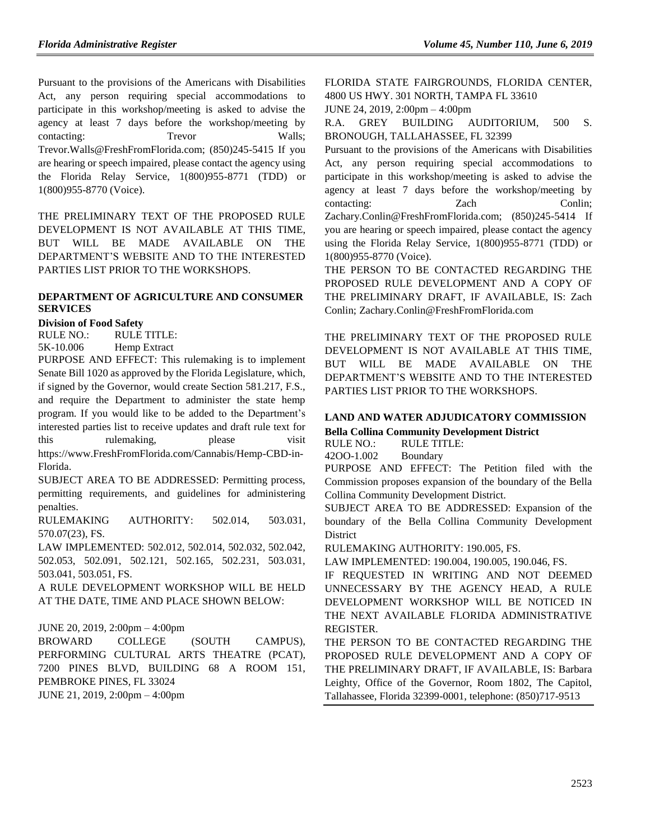Pursuant to the provisions of the Americans with Disabilities Act, any person requiring special accommodations to participate in this workshop/meeting is asked to advise the agency at least 7 days before the workshop/meeting by contacting: Trevor Walls; Trevor.Walls@FreshFromFlorida.com; (850)245-5415 If you are hearing or speech impaired, please contact the agency using the Florida Relay Service, 1(800)955-8771 (TDD) or 1(800)955-8770 (Voice).

THE PRELIMINARY TEXT OF THE PROPOSED RULE DEVELOPMENT IS NOT AVAILABLE AT THIS TIME, BUT WILL BE MADE AVAILABLE ON THE DEPARTMENT'S WEBSITE AND TO THE INTERESTED PARTIES LIST PRIOR TO THE WORKSHOPS.

## **[DEPARTMENT OF AGRICULTURE AND CONSUMER](https://www.flrules.org/gateway/department.asp?id=5)  [SERVICES](https://www.flrules.org/gateway/department.asp?id=5)**

## **[Division of Food Safety](https://www.flrules.org/gateway/organization.asp?id=171)**

RULE NO.: RULE TITLE: [5K-10.006](https://www.flrules.org/gateway/ruleNo.asp?id=5K-10.006) Hemp Extract

PURPOSE AND EFFECT: This rulemaking is to implement Senate Bill 1020 as approved by the Florida Legislature, which, if signed by the Governor, would create Section 581.217, F.S., and require the Department to administer the state hemp program. If you would like to be added to the Department's interested parties list to receive updates and draft rule text for this rulemaking, please visit https://www.FreshFromFlorida.com/Cannabis/Hemp-CBD-in-Florida.

SUBJECT AREA TO BE ADDRESSED: Permitting process, permitting requirements, and guidelines for administering penalties.

RULEMAKING AUTHORITY: [502.014, 503.031,](https://www.flrules.org/gateway/cfr.asp?id=502.014,%20503.031,%20%20570.07(23))  [570.07\(23\),](https://www.flrules.org/gateway/cfr.asp?id=502.014,%20503.031,%20%20570.07(23)) FS.

LAW IMPLEMENTED: [502.012, 502.014, 502.032, 502.042,](https://www.flrules.org/gateway/cfr.asp?id=502.012,%20502.014,%20502.032,%20502.042,%20502.053,%20502.091,%20502.121,%20502.165,%20502.231,%20503.031,%20503.041,%20503.051)  [502.053, 502.091, 502.121, 502.165, 502.231, 503.031,](https://www.flrules.org/gateway/cfr.asp?id=502.012,%20502.014,%20502.032,%20502.042,%20502.053,%20502.091,%20502.121,%20502.165,%20502.231,%20503.031,%20503.041,%20503.051)  [503.041, 503.051,](https://www.flrules.org/gateway/cfr.asp?id=502.012,%20502.014,%20502.032,%20502.042,%20502.053,%20502.091,%20502.121,%20502.165,%20502.231,%20503.031,%20503.041,%20503.051) FS.

A RULE DEVELOPMENT WORKSHOP WILL BE HELD AT THE DATE, TIME AND PLACE SHOWN BELOW:

JUNE 20, 2019, 2:00pm – 4:00pm

BROWARD COLLEGE (SOUTH CAMPUS), PERFORMING CULTURAL ARTS THEATRE (PCAT), 7200 PINES BLVD, BUILDING 68 A ROOM 151, PEMBROKE PINES, FL 33024 JUNE 21, 2019, 2:00pm – 4:00pm

FLORIDA STATE FAIRGROUNDS, FLORIDA CENTER, 4800 US HWY. 301 NORTH, TAMPA FL 33610

JUNE 24, 2019, 2:00pm – 4:00pm

R.A. GREY BUILDING AUDITORIUM, 500 S. BRONOUGH, TALLAHASSEE, FL 32399

Pursuant to the provisions of the Americans with Disabilities Act, any person requiring special accommodations to participate in this workshop/meeting is asked to advise the agency at least 7 days before the workshop/meeting by contacting: **Zach** Conlin; Zachary.Conlin@FreshFromFlorida.com; (850)245-5414 If you are hearing or speech impaired, please contact the agency using the Florida Relay Service, 1(800)955-8771 (TDD) or 1(800)955-8770 (Voice).

THE PERSON TO BE CONTACTED REGARDING THE PROPOSED RULE DEVELOPMENT AND A COPY OF THE PRELIMINARY DRAFT, IF AVAILABLE, IS: Zach Conlin; [Zachary.Conlin@FreshFromFlorida.com](mailto:Zachary.Conlin@FreshFromFlorida.com)

THE PRELIMINARY TEXT OF THE PROPOSED RULE DEVELOPMENT IS NOT AVAILABLE AT THIS TIME, BUT WILL BE MADE AVAILABLE ON THE DEPARTMENT'S WEBSITE AND TO THE INTERESTED PARTIES LIST PRIOR TO THE WORKSHOPS.

## **[LAND AND WATER ADJUDICATORY COMMISSION](https://www.flrules.org/gateway/department.asp?id=42)**

**[Bella Collina Community Development District](https://www.flrules.org/gateway/organization.asp?id=489)**

RULE NO.: RULE TITLE: [42OO-1.002](https://www.flrules.org/gateway/ruleNo.asp?id=42OO-1.002) Boundary

PURPOSE AND EFFECT: The Petition filed with the Commission proposes expansion of the boundary of the Bella Collina Community Development District.

SUBJECT AREA TO BE ADDRESSED: Expansion of the boundary of the Bella Collina Community Development **District** 

RULEMAKING AUTHORITY: [190.005, FS.](https://www.flrules.org/gateway/cfr.asp?id=190.005,%20FS)

LAW IMPLEMENTED: [190.004, 190.005, 190.046, FS.](https://www.flrules.org/gateway/cfr.asp?id=190.004,%20190.005,%20190.046,%20FS)

IF REQUESTED IN WRITING AND NOT DEEMED UNNECESSARY BY THE AGENCY HEAD, A RULE DEVELOPMENT WORKSHOP WILL BE NOTICED IN THE NEXT AVAILABLE FLORIDA ADMINISTRATIVE REGISTER.

THE PERSON TO BE CONTACTED REGARDING THE PROPOSED RULE DEVELOPMENT AND A COPY OF THE PRELIMINARY DRAFT, IF AVAILABLE, IS: Barbara Leighty, Office of the Governor, Room 1802, The Capitol, Tallahassee, Florida 32399-0001, telephone: (850)717-9513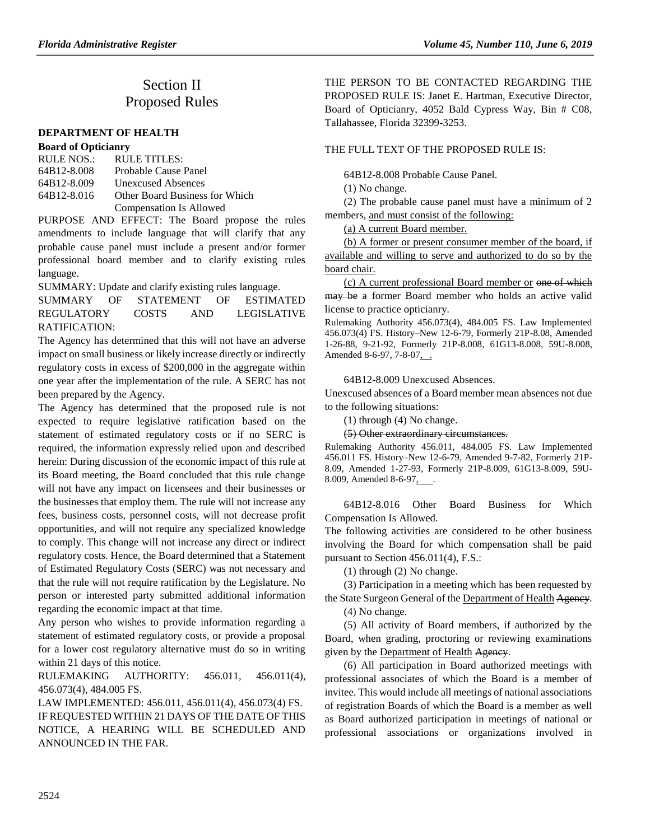# Section II Proposed Rules

#### **[DEPARTMENT OF](https://www.flrules.org/gateway/department.asp?id=64) HEALTH**

#### **[Board of Opticianry](https://www.flrules.org/gateway/organization.asp?id=303)**

| RULE NOS.:  | RULE TITLES:                   |
|-------------|--------------------------------|
| 64B12-8.008 | Probable Cause Panel           |
| 64B12-8.009 | Unexcused Absences             |
| 64B12-8.016 | Other Board Business for Which |
|             | <b>Compensation Is Allowed</b> |

PURPOSE AND EFFECT: The Board propose the rules amendments to include language that will clarify that any probable cause panel must include a present and/or former professional board member and to clarify existing rules language.

SUMMARY: Update and clarify existing rules language.

SUMMARY OF STATEMENT OF ESTIMATED REGULATORY COSTS AND LEGISLATIVE RATIFICATION:

The Agency has determined that this will not have an adverse impact on small business or likely increase directly or indirectly regulatory costs in excess of \$200,000 in the aggregate within one year after the implementation of the rule. A SERC has not been prepared by the Agency.

The Agency has determined that the proposed rule is not expected to require legislative ratification based on the statement of estimated regulatory costs or if no SERC is required, the information expressly relied upon and described herein: During discussion of the economic impact of this rule at its Board meeting, the Board concluded that this rule change will not have any impact on licensees and their businesses or the businesses that employ them. The rule will not increase any fees, business costs, personnel costs, will not decrease profit opportunities, and will not require any specialized knowledge to comply. This change will not increase any direct or indirect regulatory costs. Hence, the Board determined that a Statement of Estimated Regulatory Costs (SERC) was not necessary and that the rule will not require ratification by the Legislature. No person or interested party submitted additional information regarding the economic impact at that time.

Any person who wishes to provide information regarding a statement of estimated regulatory costs, or provide a proposal for a lower cost regulatory alternative must do so in writing within 21 days of this notice.

RULEMAKING AUTHORITY: [456.011,](https://www.flrules.org/gateway/statute.asp?id=456.011) [456.011\(4\),](https://www.flrules.org/gateway/statute.asp?id=%20456.011(4)) [456.073\(4\),](https://www.flrules.org/gateway/statute.asp?id=%20456.073(4)) [484.005 FS.](https://www.flrules.org/gateway/statute.asp?id=%20484.005%20FS.)

LAW IMPLEMENTED: [456.011,](https://www.flrules.org/gateway/statute.asp?id=456.011) [456.011\(4\),](https://www.flrules.org/gateway/statute.asp?id=%20456.011(4)) [456.073\(4\) FS.](https://www.flrules.org/gateway/statute.asp?id=%20456.073(4)%20FS.) IF REQUESTED WITHIN 21 DAYS OF THE DATE OF THIS NOTICE, A HEARING WILL BE SCHEDULED AND ANNOUNCED IN THE FAR.

THE PERSON TO BE CONTACTED REGARDING THE PROPOSED RULE IS: Janet E. Hartman, Executive Director, Board of Opticianry, 4052 Bald Cypress Way, Bin # C08, Tallahassee, Florida 32399-3253.

## THE FULL TEXT OF THE PROPOSED RULE IS.

64B12-8.008 Probable Cause Panel.

(1) No change.

(2) The probable cause panel must have a minimum of 2 members, and must consist of the following:

(a) A current Board member.

(b) A former or present consumer member of the board, if available and willing to serve and authorized to do so by the board chair.

(c) A current professional Board member or one of which may be a former Board member who holds an active valid license to practice opticianry.

Rulemaking Authority 456.073(4), 484.005 FS. Law Implemented 456.073(4) FS. History–New 12-6-79, Formerly 21P-8.08, Amended 1-26-88, 9-21-92, Formerly 21P-8.008, 61G13-8.008, 59U-8.008, Amended 8-6-97, 7-8-07, ...

64B12-8.009 Unexcused Absences.

Unexcused absences of a Board member mean absences not due to the following situations:

(1) through (4) No change.

(5) Other extraordinary circumstances.

Rulemaking Authority 456.011, 484.005 FS. Law Implemented 456.011 FS. History–New 12-6-79, Amended 9-7-82, Formerly 21P-8.09, Amended 1-27-93, Formerly 21P-8.009, 61G13-8.009, 59U-8.009, Amended 8-6-97,

64B12-8.016 Other Board Business for Which Compensation Is Allowed.

The following activities are considered to be other business involving the Board for which compensation shall be paid pursuant to Section 456.011(4), F.S.:

(1) through (2) No change.

(3) Participation in a meeting which has been requested by the State Surgeon General of the Department of Health Agency.

(4) No change.

(5) All activity of Board members, if authorized by the Board, when grading, proctoring or reviewing examinations given by the Department of Health Agency.

(6) All participation in Board authorized meetings with professional associates of which the Board is a member of invitee. This would include all meetings of national associations of registration Boards of which the Board is a member as well as Board authorized participation in meetings of national or professional associations or organizations involved in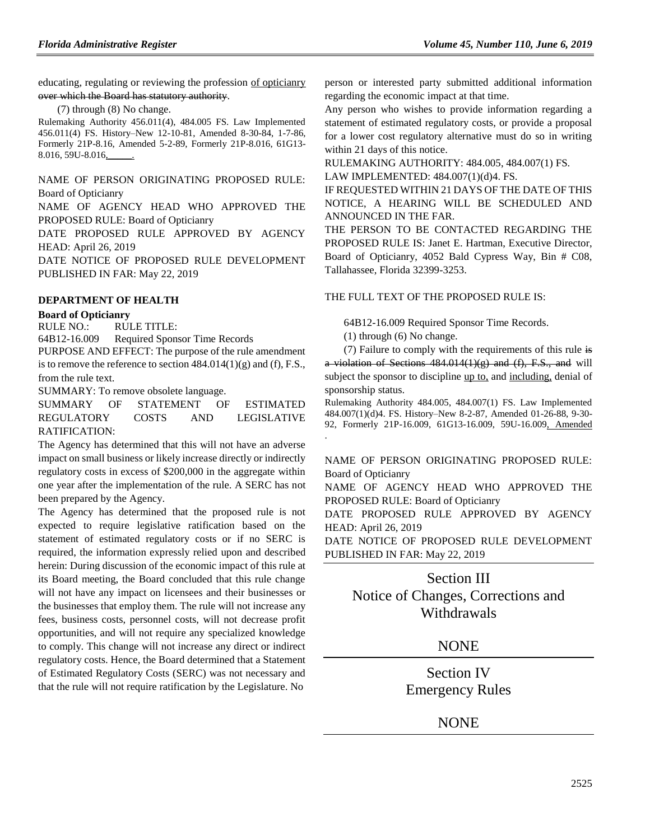educating, regulating or reviewing the profession of opticianry over which the Board has statutory authority.

(7) through (8) No change.

Rulemaking Authority 456.011(4), 484.005 FS. Law Implemented 456.011(4) FS. History–New 12-10-81, Amended 8-30-84, 1-7-86, Formerly 21P-8.16, Amended 5-2-89, Formerly 21P-8.016, 61G13- 8.016, 59U-8.016,\_\_\_\_\_.

NAME OF PERSON ORIGINATING PROPOSED RULE: Board of Opticianry

NAME OF AGENCY HEAD WHO APPROVED THE PROPOSED RULE: Board of Opticianry

DATE PROPOSED RULE APPROVED BY AGENCY HEAD: April 26, 2019

DATE NOTICE OF PROPOSED RULE DEVELOPMENT PUBLISHED IN FAR: May 22, 2019

## **[DEPARTMENT OF HEALTH](https://www.flrules.org/gateway/department.asp?id=64)**

## **[Board of Opticianry](https://www.flrules.org/gateway/organization.asp?id=303)**

RULE NO.: RULE TITLE:

[64B12-16.009](https://www.flrules.org/gateway/ruleNo.asp?id=64B12-16.009) Required Sponsor Time Records

PURPOSE AND EFFECT: The purpose of the rule amendment is to remove the reference to section  $484.014(1)(g)$  and (f), F.S., from the rule text.

SUMMARY: To remove obsolete language.

SUMMARY OF STATEMENT OF ESTIMATED REGULATORY COSTS AND LEGISLATIVE RATIFICATION:

The Agency has determined that this will not have an adverse impact on small business or likely increase directly or indirectly regulatory costs in excess of \$200,000 in the aggregate within one year after the implementation of the rule. A SERC has not been prepared by the Agency.

The Agency has determined that the proposed rule is not expected to require legislative ratification based on the statement of estimated regulatory costs or if no SERC is required, the information expressly relied upon and described herein: During discussion of the economic impact of this rule at its Board meeting, the Board concluded that this rule change will not have any impact on licensees and their businesses or the businesses that employ them. The rule will not increase any fees, business costs, personnel costs, will not decrease profit opportunities, and will not require any specialized knowledge to comply. This change will not increase any direct or indirect regulatory costs. Hence, the Board determined that a Statement of Estimated Regulatory Costs (SERC) was not necessary and that the rule will not require ratification by the Legislature. No

person or interested party submitted additional information regarding the economic impact at that time.

Any person who wishes to provide information regarding a statement of estimated regulatory costs, or provide a proposal for a lower cost regulatory alternative must do so in writing within 21 days of this notice.

RULEMAKING AUTHORITY: [484.005,](https://www.flrules.org/gateway/statute.asp?id=484.005) [484.007\(1\) FS.](https://www.flrules.org/gateway/statute.asp?id=%20484.007(1)%20FS.) LAW IMPLEMENTED: [484.007\(1\)\(d\)4. FS.](https://www.flrules.org/gateway/statute.asp?id=484.007(1)(d)4.%20FS.)

IF REQUESTED WITHIN 21 DAYS OF THE DATE OF THIS NOTICE, A HEARING WILL BE SCHEDULED AND ANNOUNCED IN THE FAR.

THE PERSON TO BE CONTACTED REGARDING THE PROPOSED RULE IS: Janet E. Hartman, Executive Director, Board of Opticianry, 4052 Bald Cypress Way, Bin # C08, Tallahassee, Florida 32399-3253.

## THE FULL TEXT OF THE PROPOSED RULE IS:

64B12-16.009 Required Sponsor Time Records.

(1) through (6) No change.

(7) Failure to comply with the requirements of this rule is a violation of Sections  $484.014(1)(g)$  and  $(f)$ , F.S., and will subject the sponsor to discipline up to, and including, denial of sponsorship status.

Rulemaking Authority 484.005, 484.007(1) FS. Law Implemented 484.007(1)(d)4. FS. History–New 8-2-87, Amended 01-26-88, 9-30- 92, Formerly 21P-16.009, 61G13-16.009, 59U-16.009, Amended .

NAME OF PERSON ORIGINATING PROPOSED RULE: Board of Opticianry

NAME OF AGENCY HEAD WHO APPROVED THE PROPOSED RULE: Board of Opticianry

DATE PROPOSED RULE APPROVED BY AGENCY HEAD: April 26, 2019

DATE NOTICE OF PROPOSED RULE DEVELOPMENT PUBLISHED IN FAR: May 22, 2019

# Section III Notice of Changes, Corrections and Withdrawals

## NONE

Section IV Emergency Rules

NONE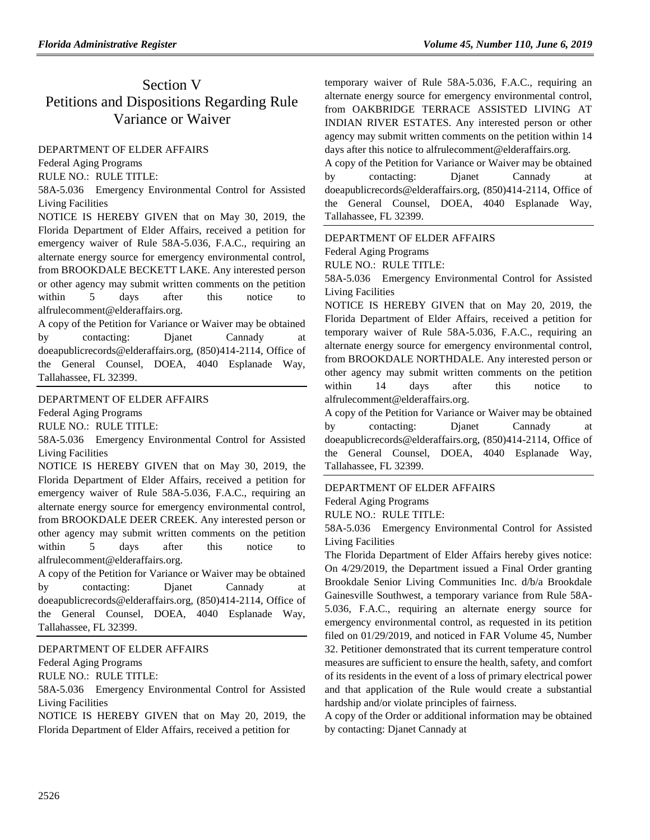# Section V Petitions and Dispositions Regarding Rule Variance or Waiver

## [DEPARTMENT OF ELDER AFFAIRS](https://www.flrules.org/gateway/department.asp?id=58)

[Federal Aging Programs](https://www.flrules.org/gateway/organization.asp?id=179)

RULE NO.: RULE TITLE:

[58A-5.036](https://www.flrules.org/gateway/ruleNo.asp?id=58A-5.036) Emergency Environmental Control for Assisted Living Facilities

NOTICE IS HEREBY GIVEN that on May 30, 2019, the Florida Department of Elder Affairs, received a petition for emergency waiver of Rule 58A-5.036, F.A.C., requiring an alternate energy source for emergency environmental control, from BROOKDALE BECKETT LAKE. Any interested person or other agency may submit written comments on the petition within 5 days after this notice to alfrulecomment@elderaffairs.org.

A copy of the Petition for Variance or Waiver may be obtained by contacting: Djanet Cannady at doeapublicrecords@elderaffairs.org, (850)414-2114, Office of the General Counsel, DOEA, 4040 Esplanade Way, Tallahassee, FL 32399.

## [DEPARTMENT OF ELDER AFFAIRS](https://www.flrules.org/gateway/department.asp?id=58)

[Federal Aging Programs](https://www.flrules.org/gateway/organization.asp?id=179)

RULE NO.: RULE TITLE:

[58A-5.036](https://www.flrules.org/gateway/ruleNo.asp?id=58A-5.036) Emergency Environmental Control for Assisted Living Facilities

NOTICE IS HEREBY GIVEN that on May 30, 2019, the Florida Department of Elder Affairs, received a petition for emergency waiver of Rule 58A-5.036, F.A.C., requiring an alternate energy source for emergency environmental control, from BROOKDALE DEER CREEK. Any interested person or other agency may submit written comments on the petition within 5 days after this notice to alfrulecomment@elderaffairs.org.

A copy of the Petition for Variance or Waiver may be obtained by contacting: Djanet Cannady at doeapublicrecords@elderaffairs.org, (850)414-2114, Office of the General Counsel, DOEA, 4040 Esplanade Way, Tallahassee, FL 32399.

## [DEPARTMENT OF ELDER AFFAIRS](https://www.flrules.org/gateway/department.asp?id=58)

[Federal Aging Programs](https://www.flrules.org/gateway/organization.asp?id=179)

RULE NO.: RULE TITLE:

[58A-5.036](https://www.flrules.org/gateway/ruleNo.asp?id=58A-5.036) Emergency Environmental Control for Assisted Living Facilities

NOTICE IS HEREBY GIVEN that on May 20, 2019, the Florida Department of Elder Affairs, received a petition for

temporary waiver of Rule 58A-5.036, F.A.C., requiring an alternate energy source for emergency environmental control, from OAKBRIDGE TERRACE ASSISTED LIVING AT INDIAN RIVER ESTATES. Any interested person or other agency may submit written comments on the petition within 14 days after this notice to alfrulecomment@elderaffairs.org.

A copy of the Petition for Variance or Waiver may be obtained by contacting: Djanet Cannady at doeapublicrecords@elderaffairs.org, (850)414-2114, Office of the General Counsel, DOEA, 4040 Esplanade Way, Tallahassee, FL 32399.

## [DEPARTMENT OF ELDER AFFAIRS](https://www.flrules.org/gateway/department.asp?id=58)

[Federal Aging Programs](https://www.flrules.org/gateway/organization.asp?id=179)

RULE NO.: RULE TITLE:

[58A-5.036](https://www.flrules.org/gateway/ruleNo.asp?id=58A-5.036) Emergency Environmental Control for Assisted Living Facilities

NOTICE IS HEREBY GIVEN that on May 20, 2019, the Florida Department of Elder Affairs, received a petition for temporary waiver of Rule 58A-5.036, F.A.C., requiring an alternate energy source for emergency environmental control, from BROOKDALE NORTHDALE. Any interested person or other agency may submit written comments on the petition within 14 days after this notice to alfrulecomment@elderaffairs.org.

A copy of the Petition for Variance or Waiver may be obtained by contacting: Djanet Cannady at doeapublicrecords@elderaffairs.org, (850)414-2114, Office of the General Counsel, DOEA, 4040 Esplanade Way, Tallahassee, FL 32399.

## [DEPARTMENT OF ELDER AFFAIRS](https://www.flrules.org/gateway/department.asp?id=58)

[Federal Aging Programs](https://www.flrules.org/gateway/organization.asp?id=179)

RULE NO.: RULE TITLE:

[58A-5.036](https://www.flrules.org/gateway/ruleNo.asp?id=58A-5.036) Emergency Environmental Control for Assisted Living Facilities

The Florida Department of Elder Affairs hereby gives notice: On 4/29/2019, the Department issued a Final Order granting Brookdale Senior Living Communities Inc. d/b/a Brookdale Gainesville Southwest, a temporary variance from Rule 58A-5.036, F.A.C., requiring an alternate energy source for emergency environmental control, as requested in its petition filed on 01/29/2019, and noticed in FAR Volume 45, Number 32. Petitioner demonstrated that its current temperature control measures are sufficient to ensure the health, safety, and comfort of its residents in the event of a loss of primary electrical power and that application of the Rule would create a substantial hardship and/or violate principles of fairness.

A copy of the Order or additional information may be obtained by contacting: Djanet Cannady at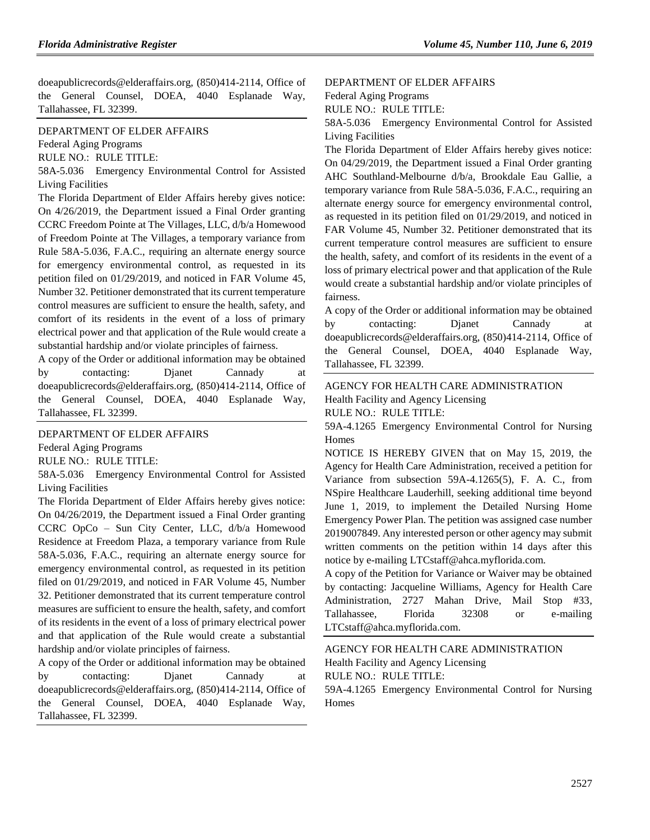doeapublicrecords@elderaffairs.org, (850)414-2114, Office of the General Counsel, DOEA, 4040 Esplanade Way, Tallahassee, FL 32399.

#### [DEPARTMENT OF ELDER AFFAIRS](https://www.flrules.org/gateway/department.asp?id=58)

[Federal Aging Programs](https://www.flrules.org/gateway/organization.asp?id=179)

RULE NO.: RULE TITLE:

[58A-5.036](https://www.flrules.org/gateway/ruleNo.asp?id=58A-5.036) Emergency Environmental Control for Assisted Living Facilities

The Florida Department of Elder Affairs hereby gives notice: On 4/26/2019, the Department issued a Final Order granting CCRC Freedom Pointe at The Villages, LLC, d/b/a Homewood of Freedom Pointe at The Villages, a temporary variance from Rule 58A-5.036, F.A.C., requiring an alternate energy source for emergency environmental control, as requested in its petition filed on 01/29/2019, and noticed in FAR Volume 45, Number 32. Petitioner demonstrated that its current temperature control measures are sufficient to ensure the health, safety, and comfort of its residents in the event of a loss of primary electrical power and that application of the Rule would create a substantial hardship and/or violate principles of fairness.

A copy of the Order or additional information may be obtained by contacting: Djanet Cannady at doeapublicrecords@elderaffairs.org, (850)414-2114, Office of the General Counsel, DOEA, 4040 Esplanade Way, Tallahassee, FL 32399.

#### [DEPARTMENT OF ELDER AFFAIRS](https://www.flrules.org/gateway/department.asp?id=58)

[Federal Aging Programs](https://www.flrules.org/gateway/organization.asp?id=179)

RULE NO.: RULE TITLE:

[58A-5.036](https://www.flrules.org/gateway/ruleNo.asp?id=58A-5.036) Emergency Environmental Control for Assisted Living Facilities

The Florida Department of Elder Affairs hereby gives notice: On 04/26/2019, the Department issued a Final Order granting CCRC OpCo – Sun City Center, LLC, d/b/a Homewood Residence at Freedom Plaza, a temporary variance from Rule 58A-5.036, F.A.C., requiring an alternate energy source for emergency environmental control, as requested in its petition filed on 01/29/2019, and noticed in FAR Volume 45, Number 32. Petitioner demonstrated that its current temperature control measures are sufficient to ensure the health, safety, and comfort of its residents in the event of a loss of primary electrical power and that application of the Rule would create a substantial hardship and/or violate principles of fairness.

A copy of the Order or additional information may be obtained by contacting: Djanet Cannady at doeapublicrecords@elderaffairs.org, (850)414-2114, Office of the General Counsel, DOEA, 4040 Esplanade Way, Tallahassee, FL 32399.

### [DEPARTMENT OF ELDER AFFAIRS](https://www.flrules.org/gateway/department.asp?id=58)

[Federal Aging Programs](https://www.flrules.org/gateway/organization.asp?id=179)

RULE NO.: RULE TITLE:

[58A-5.036](https://www.flrules.org/gateway/ruleNo.asp?id=58A-5.036) Emergency Environmental Control for Assisted Living Facilities

The Florida Department of Elder Affairs hereby gives notice: On 04/29/2019, the Department issued a Final Order granting AHC Southland-Melbourne d/b/a, Brookdale Eau Gallie, a temporary variance from Rule 58A-5.036, F.A.C., requiring an alternate energy source for emergency environmental control, as requested in its petition filed on 01/29/2019, and noticed in FAR Volume 45, Number 32. Petitioner demonstrated that its current temperature control measures are sufficient to ensure the health, safety, and comfort of its residents in the event of a loss of primary electrical power and that application of the Rule would create a substantial hardship and/or violate principles of fairness.

A copy of the Order or additional information may be obtained by contacting: Djanet Cannady at doeapublicrecords@elderaffairs.org, (850)414-2114, Office of the General Counsel, DOEA, 4040 Esplanade Way, Tallahassee, FL 32399.

[AGENCY FOR HEALTH CARE ADMINISTRATION](https://www.flrules.org/gateway/department.asp?id=59) [Health Facility and Agency Licensing](https://www.flrules.org/gateway/organization.asp?id=186) RULE NO.: RULE TITLE:

[59A-4.1265](https://www.flrules.org/gateway/ruleNo.asp?id=59A-4.1265) Emergency Environmental Control for Nursing Homes

NOTICE IS HEREBY GIVEN that on May 15, 2019, the Agency for Health Care Administration, received a petition for Variance from subsection 59A-4.1265(5), F. A. C., from NSpire Healthcare Lauderhill, seeking additional time beyond June 1, 2019, to implement the Detailed Nursing Home Emergency Power Plan. The petition was assigned case number 2019007849. Any interested person or other agency may submit written comments on the petition within 14 days after this notice by e-mailing LTCstaff@ahca.myflorida.com.

A copy of the Petition for Variance or Waiver may be obtained by contacting: Jacqueline Williams, Agency for Health Care Administration, 2727 Mahan Drive, Mail Stop #33, Tallahassee, Florida 32308 or e-mailing LTCstaff@ahca.myflorida.com.

[AGENCY FOR HEALTH CARE ADMINISTRATION](https://www.flrules.org/gateway/department.asp?id=59) [Health Facility and Agency Licensing](https://www.flrules.org/gateway/organization.asp?id=186)

RULE NO.: RULE TITLE:

[59A-4.1265](https://www.flrules.org/gateway/ruleNo.asp?id=59A-4.1265) Emergency Environmental Control for Nursing Homes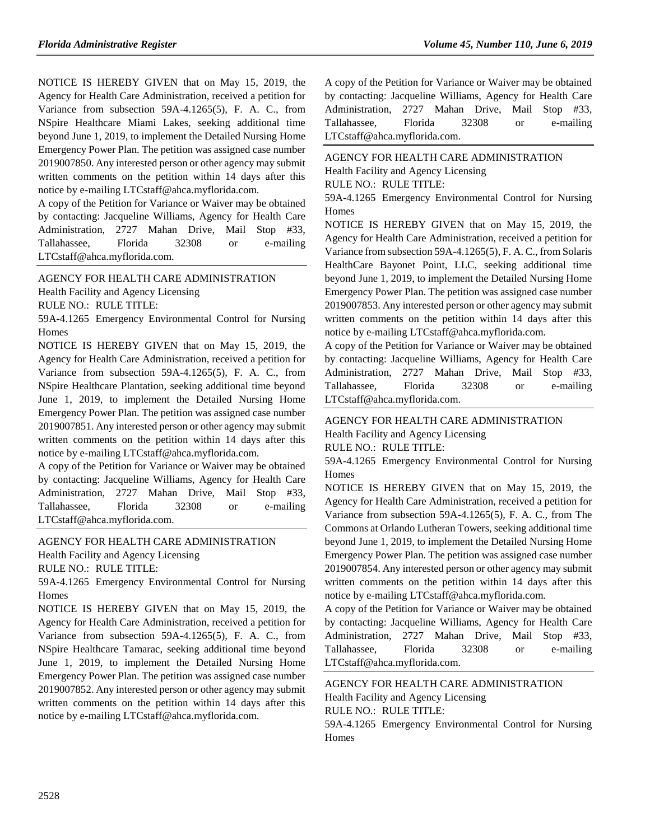NOTICE IS HEREBY GIVEN that on May 15, 2019, the Agency for Health Care Administration, received a petition for Variance from subsection 59A-4.1265(5), F. A. C., from NSpire Healthcare Miami Lakes, seeking additional time beyond June 1, 2019, to implement the Detailed Nursing Home Emergency Power Plan. The petition was assigned case number 2019007850. Any interested person or other agency may submit written comments on the petition within 14 days after this notice by e-mailing LTCstaff@ahca.myflorida.com.

A copy of the Petition for Variance or Waiver may be obtained by contacting: Jacqueline Williams, Agency for Health Care Administration, 2727 Mahan Drive, Mail Stop #33, Tallahassee, Florida 32308 or e-mailing LTCstaff@ahca.myflorida.com.

[AGENCY FOR HEALTH CARE ADMINISTRATION](https://www.flrules.org/gateway/department.asp?id=59)

[Health Facility and Agency Licensing](https://www.flrules.org/gateway/organization.asp?id=186)

RULE NO.: RULE TITLE:

[59A-4.1265](https://www.flrules.org/gateway/ruleNo.asp?id=59A-4.1265) Emergency Environmental Control for Nursing Homes

NOTICE IS HEREBY GIVEN that on May 15, 2019, the Agency for Health Care Administration, received a petition for Variance from subsection 59A-4.1265(5), F. A. C., from NSpire Healthcare Plantation, seeking additional time beyond June 1, 2019, to implement the Detailed Nursing Home Emergency Power Plan. The petition was assigned case number 2019007851. Any interested person or other agency may submit written comments on the petition within 14 days after this notice by e-mailing LTCstaff@ahca.myflorida.com.

A copy of the Petition for Variance or Waiver may be obtained by contacting: Jacqueline Williams, Agency for Health Care Administration, 2727 Mahan Drive, Mail Stop #33, Tallahassee, Florida 32308 or e-mailing LTCstaff@ahca.myflorida.com.

[AGENCY FOR HEALTH CARE ADMINISTRATION](https://www.flrules.org/gateway/department.asp?id=59) [Health Facility and Agency Licensing](https://www.flrules.org/gateway/organization.asp?id=186)

RULE NO.: RULE TITLE:

[59A-4.1265](https://www.flrules.org/gateway/ruleNo.asp?id=59A-4.1265) Emergency Environmental Control for Nursing Homes

NOTICE IS HEREBY GIVEN that on May 15, 2019, the Agency for Health Care Administration, received a petition for Variance from subsection 59A-4.1265(5), F. A. C., from NSpire Healthcare Tamarac, seeking additional time beyond June 1, 2019, to implement the Detailed Nursing Home Emergency Power Plan. The petition was assigned case number 2019007852. Any interested person or other agency may submit written comments on the petition within 14 days after this notice by e-mailing LTCstaff@ahca.myflorida.com.

A copy of the Petition for Variance or Waiver may be obtained by contacting: Jacqueline Williams, Agency for Health Care Administration, 2727 Mahan Drive, Mail Stop #33, Tallahassee, Florida 32308 or e-mailing LTCstaff@ahca.myflorida.com.

[AGENCY FOR HEALTH CARE ADMINISTRATION](https://www.flrules.org/gateway/department.asp?id=59) [Health Facility and Agency Licensing](https://www.flrules.org/gateway/organization.asp?id=186) RULE NO.: RULE TITLE:

[59A-4.1265](https://www.flrules.org/gateway/ruleNo.asp?id=59A-4.1265) Emergency Environmental Control for Nursing Homes

NOTICE IS HEREBY GIVEN that on May 15, 2019, the Agency for Health Care Administration, received a petition for Variance from subsection 59A-4.1265(5), F. A. C., from Solaris HealthCare Bayonet Point, LLC, seeking additional time beyond June 1, 2019, to implement the Detailed Nursing Home Emergency Power Plan. The petition was assigned case number 2019007853. Any interested person or other agency may submit written comments on the petition within 14 days after this notice by e-mailing LTCstaff@ahca.myflorida.com.

A copy of the Petition for Variance or Waiver may be obtained by contacting: Jacqueline Williams, Agency for Health Care Administration, 2727 Mahan Drive, Mail Stop #33, Tallahassee, Florida 32308 or e-mailing LTCstaff@ahca.myflorida.com.

[AGENCY FOR HEALTH CARE ADMINISTRATION](https://www.flrules.org/gateway/department.asp?id=59) [Health Facility and Agency Licensing](https://www.flrules.org/gateway/organization.asp?id=186)

RULE NO.: RULE TITLE:

[59A-4.1265](https://www.flrules.org/gateway/ruleNo.asp?id=59A-4.1265) Emergency Environmental Control for Nursing Homes

NOTICE IS HEREBY GIVEN that on May 15, 2019, the Agency for Health Care Administration, received a petition for Variance from subsection 59A-4.1265(5), F. A. C., from The Commons at Orlando Lutheran Towers, seeking additional time beyond June 1, 2019, to implement the Detailed Nursing Home Emergency Power Plan. The petition was assigned case number 2019007854. Any interested person or other agency may submit written comments on the petition within 14 days after this notice by e-mailing LTCstaff@ahca.myflorida.com.

A copy of the Petition for Variance or Waiver may be obtained by contacting: Jacqueline Williams, Agency for Health Care Administration, 2727 Mahan Drive, Mail Stop #33, Tallahassee, Florida 32308 or e-mailing LTCstaff@ahca.myflorida.com.

[AGENCY FOR HEALTH CARE ADMINISTRATION](https://www.flrules.org/gateway/department.asp?id=59) [Health Facility and Agency Licensing](https://www.flrules.org/gateway/organization.asp?id=186) RULE NO.: RULE TITLE: [59A-4.1265](https://www.flrules.org/gateway/ruleNo.asp?id=59A-4.1265) Emergency Environmental Control for Nursing

**Homes**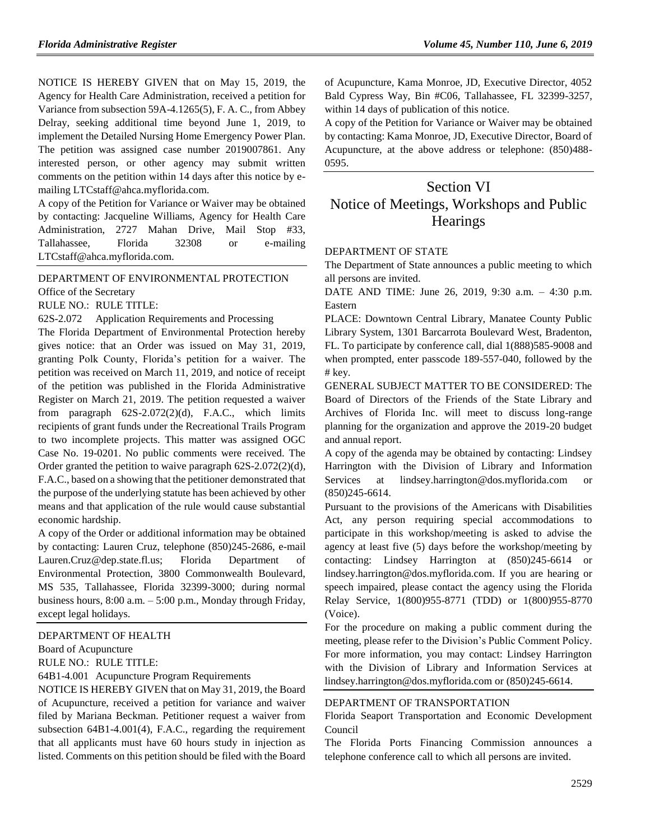NOTICE IS HEREBY GIVEN that on May 15, 2019, the Agency for Health Care Administration, received a petition for Variance from subsection 59A-4.1265(5), F. A. C., from Abbey Delray, seeking additional time beyond June 1, 2019, to implement the Detailed Nursing Home Emergency Power Plan. The petition was assigned case number 2019007861. Any interested person, or other agency may submit written comments on the petition within 14 days after this notice by emailing LTCstaff@ahca.myflorida.com.

A copy of the Petition for Variance or Waiver may be obtained by contacting: Jacqueline Williams, Agency for Health Care Administration, 2727 Mahan Drive, Mail Stop #33, Tallahassee, Florida 32308 or e-mailing LTCstaff@ahca.myflorida.com.

#### [DEPARTMENT OF ENVIRONMENTAL PROTECTION](https://www.flrules.org/gateway/department.asp?id=62)

[Office of the Secretary](https://www.flrules.org/gateway/organization.asp?id=294)

RULE NO.: RULE TITLE:

[62S-2.072](https://www.flrules.org/gateway/ruleNo.asp?id=62S-2.072) Application Requirements and Processing

The Florida Department of Environmental Protection hereby gives notice: that an Order was issued on May 31, 2019, granting Polk County, Florida's petition for a waiver. The petition was received on March 11, 2019, and notice of receipt of the petition was published in the Florida Administrative Register on March 21, 2019. The petition requested a waiver from paragraph 62S-2.072(2)(d), F.A.C., which limits recipients of grant funds under the Recreational Trails Program to two incomplete projects. This matter was assigned OGC Case No. 19-0201. No public comments were received. The Order granted the petition to waive paragraph 62S-2.072(2)(d), F.A.C., based on a showing that the petitioner demonstrated that the purpose of the underlying statute has been achieved by other means and that application of the rule would cause substantial economic hardship.

A copy of the Order or additional information may be obtained by contacting: Lauren Cruz, telephone (850)245-2686, e-mail Lauren.Cruz@dep.state.fl.us; Florida Department of Environmental Protection, 3800 Commonwealth Boulevard, MS 535, Tallahassee, Florida 32399-3000; during normal business hours, 8:00 a.m. – 5:00 p.m., Monday through Friday, except legal holidays.

#### [DEPARTMENT OF HEALTH](https://www.flrules.org/gateway/department.asp?id=64)

[Board of Acupuncture](https://www.flrules.org/gateway/organization.asp?id=300)

RULE NO.: RULE TITLE:

[64B1-4.001](https://www.flrules.org/gateway/ruleNo.asp?id=64B1-4.001) Acupuncture Program Requirements

NOTICE IS HEREBY GIVEN that on May 31, 2019, the Board of Acupuncture, received a petition for variance and waiver filed by Mariana Beckman. Petitioner request a waiver from subsection 64B1-4.001(4), F.A.C., regarding the requirement that all applicants must have 60 hours study in injection as listed. Comments on this petition should be filed with the Board of Acupuncture, Kama Monroe, JD, Executive Director, 4052 Bald Cypress Way, Bin #C06, Tallahassee, FL 32399-3257, within 14 days of publication of this notice.

A copy of the Petition for Variance or Waiver may be obtained by contacting: Kama Monroe, JD, Executive Director, Board of Acupuncture, at the above address or telephone: (850)488- 0595.

# Section VI Notice of Meetings, Workshops and Public **Hearings**

#### [DEPARTMENT OF STATE](https://www.flrules.org/gateway/department.asp?id=1000)

The Department of State announces a public meeting to which all persons are invited.

DATE AND TIME: June 26, 2019, 9:30 a.m. – 4:30 p.m. Eastern

PLACE: Downtown Central Library, Manatee County Public Library System, 1301 Barcarrota Boulevard West, Bradenton, FL. To participate by conference call, dial 1(888)585-9008 and when prompted, enter passcode 189-557-040, followed by the # key.

GENERAL SUBJECT MATTER TO BE CONSIDERED: The Board of Directors of the Friends of the State Library and Archives of Florida Inc. will meet to discuss long-range planning for the organization and approve the 2019-20 budget and annual report.

A copy of the agenda may be obtained by contacting: Lindsey Harrington with the Division of Library and Information Services at [lindsey.harrington@dos.myflorida.com](file:///C:/Users/clbrown/AppData/Local/Microsoft/Windows/INetCache/IE/V2BW2JQ7/lindsey.harrington@dos.myflorida.com) (850)245-6614.

Pursuant to the provisions of the Americans with Disabilities Act, any person requiring special accommodations to participate in this workshop/meeting is asked to advise the agency at least five (5) days before the workshop/meeting by contacting: Lindsey Harrington at (850)245-6614 or [lindsey.harrington@dos.myflorida.com.](file:///C:/Users/clbrown/AppData/Local/Microsoft/Windows/INetCache/IE/V2BW2JQ7/lindsey.harrington@dos.myflorida.com) If you are hearing or speech impaired, please contact the agency using the Florida Relay Service, 1(800)955-8771 (TDD) or 1(800)955-8770 (Voice).

For the procedure on making a public comment during the meeting, please refer to the [Division's Public Comment Policy.](http://dos.myflorida.com/library-archives/meetings-and-notices/public-comment-policy/) For more information, you may contact: Lindsey Harrington with the Division of Library and Information Services at [lindsey.harrington@dos.myflorida.com](mailto:lindsey.harrington@dos.myflorida.com) or (850)245-6614.

#### [DEPARTMENT OF TRANSPORTATION](https://www.flrules.org/gateway/department.asp?id=14)

[Florida Seaport Transportation and Economic Development](https://www.flrules.org/gateway/organization.asp?id=39)  [Council](https://www.flrules.org/gateway/organization.asp?id=39)

The Florida Ports Financing Commission announces a telephone conference call to which all persons are invited.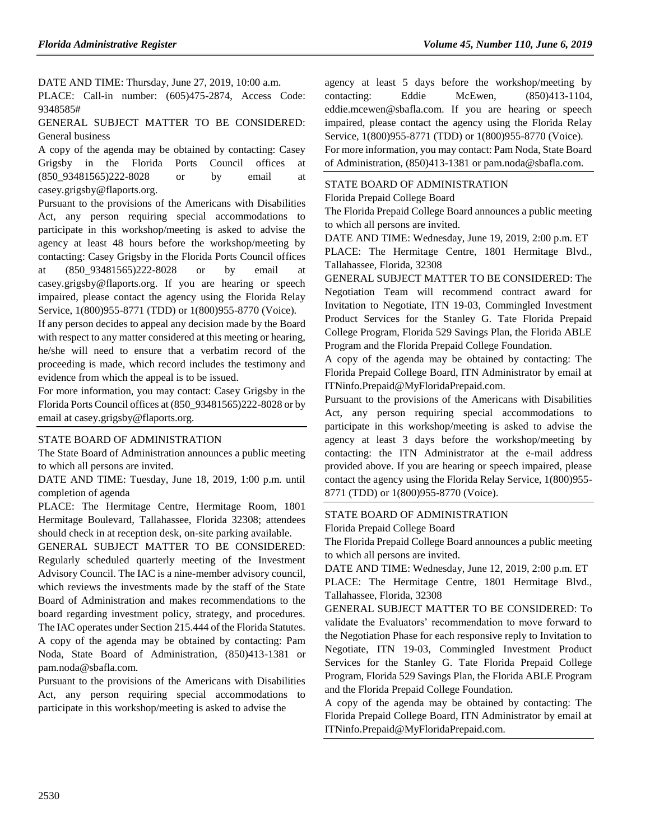DATE AND TIME: Thursday, June 27, 2019, 10:00 a.m.

PLACE: Call-in number: (605)475-2874, Access Code: 9348585#

GENERAL SUBJECT MATTER TO BE CONSIDERED: General business

A copy of the agenda may be obtained by contacting: Casey Grigsby in the Florida Ports Council offices at (850\_93481565)222-8028 or by email at casey.grigsby@flaports.org.

Pursuant to the provisions of the Americans with Disabilities Act, any person requiring special accommodations to participate in this workshop/meeting is asked to advise the agency at least 48 hours before the workshop/meeting by contacting: Casey Grigsby in the Florida Ports Council offices at (850\_93481565)222-8028 or by email at casey.grigsby@flaports.org. If you are hearing or speech impaired, please contact the agency using the Florida Relay Service, 1(800)955-8771 (TDD) or 1(800)955-8770 (Voice).

If any person decides to appeal any decision made by the Board with respect to any matter considered at this meeting or hearing, he/she will need to ensure that a verbatim record of the proceeding is made, which record includes the testimony and evidence from which the appeal is to be issued.

For more information, you may contact: Casey Grigsby in the Florida Ports Council offices at (850\_93481565)222-8028 or by email at casey.grigsby@flaports.org.

## [STATE BOARD OF ADMINISTRATION](https://www.flrules.org/gateway/department.asp?id=19)

The State Board of Administration announces a public meeting to which all persons are invited.

DATE AND TIME: Tuesday, June 18, 2019, 1:00 p.m. until completion of agenda

PLACE: The Hermitage Centre, Hermitage Room, 1801 Hermitage Boulevard, Tallahassee, Florida 32308; attendees should check in at reception desk, on-site parking available.

GENERAL SUBJECT MATTER TO BE CONSIDERED: Regularly scheduled quarterly meeting of the Investment Advisory Council. The IAC is a nine-member advisory council, which reviews the investments made by the staff of the State Board of Administration and makes recommendations to the board regarding investment policy, strategy, and procedures. The IAC operates under Section 215.444 of the Florida Statutes. A copy of the agenda may be obtained by contacting: Pam Noda, State Board of Administration, (850)413-1381 or pam.noda@sbafla.com.

Pursuant to the provisions of the Americans with Disabilities Act, any person requiring special accommodations to participate in this workshop/meeting is asked to advise the

agency at least 5 days before the workshop/meeting by contacting: Eddie McEwen, (850)413-1104, eddie.mcewen@sbafla.com. If you are hearing or speech impaired, please contact the agency using the Florida Relay Service, 1(800)955-8771 (TDD) or 1(800)955-8770 (Voice). For more information, you may contact: Pam Noda, State Board of Administration, (850)413-1381 or pam.noda@sbafla.com.

## [STATE BOARD OF ADMINISTRATION](https://www.flrules.org/gateway/department.asp?id=19)

### [Florida Prepaid College Board](https://www.flrules.org/gateway/organization.asp?id=47)

The Florida Prepaid College Board announces a public meeting to which all persons are invited.

DATE AND TIME: Wednesday, June 19, 2019, 2:00 p.m. ET

PLACE: The Hermitage Centre, 1801 Hermitage Blvd., Tallahassee, Florida, 32308

GENERAL SUBJECT MATTER TO BE CONSIDERED: The Negotiation Team will recommend contract award for Invitation to Negotiate, ITN 19-03, Commingled Investment Product Services for the Stanley G. Tate Florida Prepaid College Program, Florida 529 Savings Plan, the Florida ABLE Program and the Florida Prepaid College Foundation.

A copy of the agenda may be obtained by contacting: The Florida Prepaid College Board, ITN Administrator by email at ITNinfo.Prepaid@MyFloridaPrepaid.com.

Pursuant to the provisions of the Americans with Disabilities Act, any person requiring special accommodations to participate in this workshop/meeting is asked to advise the agency at least 3 days before the workshop/meeting by contacting: the ITN Administrator at the e-mail address provided above. If you are hearing or speech impaired, please contact the agency using the Florida Relay Service, 1(800)955- 8771 (TDD) or 1(800)955-8770 (Voice).

## [STATE BOARD OF ADMINISTRATION](https://www.flrules.org/gateway/department.asp?id=19)

[Florida Prepaid College Board](https://www.flrules.org/gateway/organization.asp?id=47)

The Florida Prepaid College Board announces a public meeting to which all persons are invited.

DATE AND TIME: Wednesday, June 12, 2019, 2:00 p.m. ET

PLACE: The Hermitage Centre, 1801 Hermitage Blvd., Tallahassee, Florida, 32308

GENERAL SUBJECT MATTER TO BE CONSIDERED: To validate the Evaluators' recommendation to move forward to the Negotiation Phase for each responsive reply to Invitation to Negotiate, ITN 19-03, Commingled Investment Product Services for the Stanley G. Tate Florida Prepaid College Program, Florida 529 Savings Plan, the Florida ABLE Program and the Florida Prepaid College Foundation.

A copy of the agenda may be obtained by contacting: The Florida Prepaid College Board, ITN Administrator by email at ITNinfo.Prepaid@MyFloridaPrepaid.com.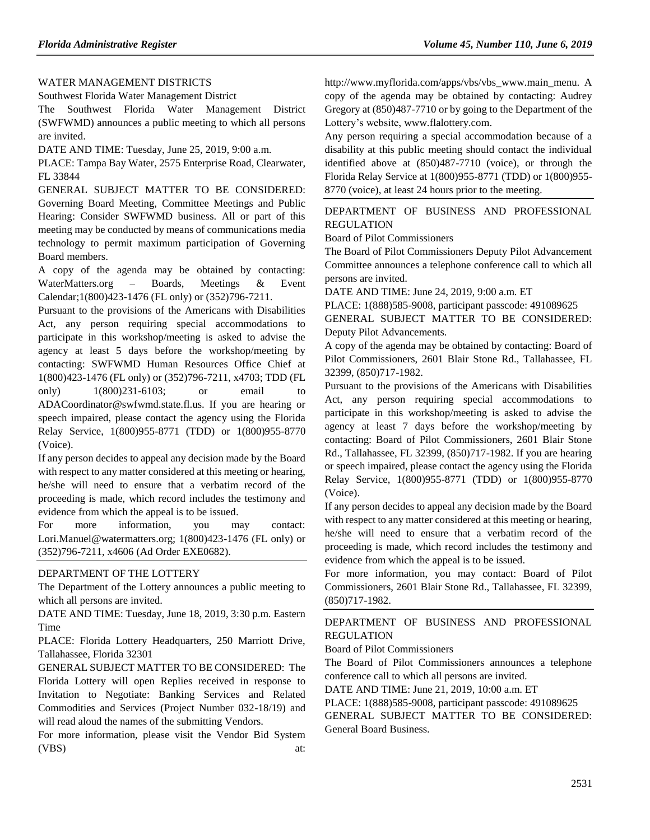## [WATER MANAGEMENT DISTRICTS](https://www.flrules.org/gateway/department.asp?id=40)

[Southwest Florida Water Management District](https://www.flrules.org/gateway/organization.asp?id=123)

The Southwest Florida Water Management District (SWFWMD) announces a public meeting to which all persons are invited.

DATE AND TIME: Tuesday, June 25, 2019, 9:00 a.m.

PLACE: Tampa Bay Water, 2575 Enterprise Road, Clearwater, FL 33844

GENERAL SUBJECT MATTER TO BE CONSIDERED: Governing Board Meeting, Committee Meetings and Public Hearing: Consider SWFWMD business. All or part of this meeting may be conducted by means of communications media technology to permit maximum participation of Governing Board members.

A copy of the agenda may be obtained by contacting: WaterMatters.org – Boards, Meetings & Event Calendar;1(800)423-1476 (FL only) or (352)796-7211.

Pursuant to the provisions of the Americans with Disabilities Act, any person requiring special accommodations to participate in this workshop/meeting is asked to advise the agency at least 5 days before the workshop/meeting by contacting: SWFWMD Human Resources Office Chief at 1(800)423-1476 (FL only) or (352)796-7211, x4703; TDD (FL only) 1(800)231-6103; or email to ADACoordinator@swfwmd.state.fl.us. If you are hearing or speech impaired, please contact the agency using the Florida Relay Service, 1(800)955-8771 (TDD) or 1(800)955-8770 (Voice).

If any person decides to appeal any decision made by the Board with respect to any matter considered at this meeting or hearing, he/she will need to ensure that a verbatim record of the proceeding is made, which record includes the testimony and evidence from which the appeal is to be issued.

For more information, you may contact: Lori.Manuel@watermatters.org; 1(800)423-1476 (FL only) or (352)796-7211, x4606 (Ad Order EXE0682).

## [DEPARTMENT OF THE LOTTERY](https://www.flrules.org/gateway/department.asp?id=53)

The Department of the Lottery announces a public meeting to which all persons are invited.

DATE AND TIME: Tuesday, June 18, 2019, 3:30 p.m. Eastern Time

PLACE: Florida Lottery Headquarters, 250 Marriott Drive, Tallahassee, Florida 32301

GENERAL SUBJECT MATTER TO BE CONSIDERED: The Florida Lottery will open Replies received in response to Invitation to Negotiate: Banking Services and Related Commodities and Services (Project Number 032-18/19) and will read aloud the names of the submitting Vendors.

For more information, please visit the Vendor Bid System (VBS) at: http://www.myflorida.com/apps/vbs/vbs\_www.main\_menu. A copy of the agenda may be obtained by contacting: Audrey Gregory at (850)487-7710 or by going to the Department of the Lottery's website[, www.flalottery.com.](http://www.flalottery.com/)

Any person requiring a special accommodation because of a disability at this public meeting should contact the individual identified above at (850)487-7710 (voice), or through the Florida Relay Service at 1(800)955-8771 (TDD) or 1(800)955- 8770 (voice), at least 24 hours prior to the meeting.

## [DEPARTMENT OF BUSINESS AND PROFESSIONAL](https://www.flrules.org/gateway/department.asp?id=61)  [REGULATION](https://www.flrules.org/gateway/department.asp?id=61)

[Board of Pilot Commissioners](https://www.flrules.org/gateway/organization.asp?id=266)

The Board of Pilot Commissioners Deputy Pilot Advancement Committee announces a telephone conference call to which all persons are invited.

DATE AND TIME: June 24, 2019, 9:00 a.m. ET

PLACE: 1(888)585-9008, participant passcode: 491089625 GENERAL SUBJECT MATTER TO BE CONSIDERED: Deputy Pilot Advancements.

A copy of the agenda may be obtained by contacting: Board of Pilot Commissioners, 2601 Blair Stone Rd., Tallahassee, FL 32399, (850)717-1982.

Pursuant to the provisions of the Americans with Disabilities Act, any person requiring special accommodations to participate in this workshop/meeting is asked to advise the agency at least 7 days before the workshop/meeting by contacting: Board of Pilot Commissioners, 2601 Blair Stone Rd., Tallahassee, FL 32399, (850)717-1982. If you are hearing or speech impaired, please contact the agency using the Florida Relay Service, 1(800)955-8771 (TDD) or 1(800)955-8770 (Voice).

If any person decides to appeal any decision made by the Board with respect to any matter considered at this meeting or hearing, he/she will need to ensure that a verbatim record of the proceeding is made, which record includes the testimony and evidence from which the appeal is to be issued.

For more information, you may contact: Board of Pilot Commissioners, 2601 Blair Stone Rd., Tallahassee, FL 32399, (850)717-1982.

## [DEPARTMENT OF BUSINESS AND PROFESSIONAL](https://www.flrules.org/gateway/department.asp?id=61)  [REGULATION](https://www.flrules.org/gateway/department.asp?id=61)

[Board of Pilot Commissioners](https://www.flrules.org/gateway/organization.asp?id=266)

The Board of Pilot Commissioners announces a telephone conference call to which all persons are invited.

DATE AND TIME: June 21, 2019, 10:00 a.m. ET

PLACE: 1(888)585-9008, participant passcode: 491089625

GENERAL SUBJECT MATTER TO BE CONSIDERED: General Board Business.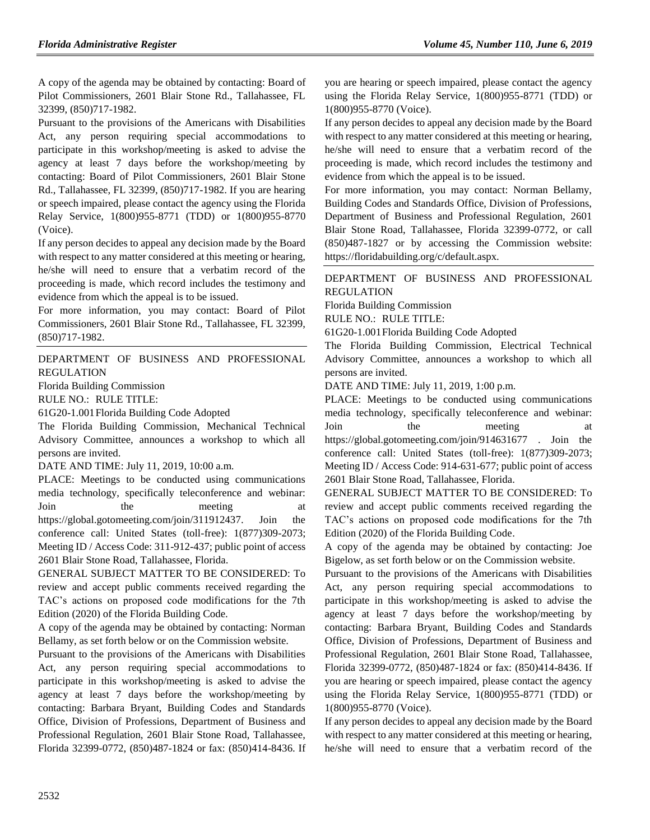A copy of the agenda may be obtained by contacting: Board of Pilot Commissioners, 2601 Blair Stone Rd., Tallahassee, FL 32399, (850)717-1982.

Pursuant to the provisions of the Americans with Disabilities Act, any person requiring special accommodations to participate in this workshop/meeting is asked to advise the agency at least 7 days before the workshop/meeting by contacting: Board of Pilot Commissioners, 2601 Blair Stone Rd., Tallahassee, FL 32399, (850)717-1982. If you are hearing or speech impaired, please contact the agency using the Florida Relay Service, 1(800)955-8771 (TDD) or 1(800)955-8770 (Voice).

If any person decides to appeal any decision made by the Board with respect to any matter considered at this meeting or hearing, he/she will need to ensure that a verbatim record of the proceeding is made, which record includes the testimony and evidence from which the appeal is to be issued.

For more information, you may contact: Board of Pilot Commissioners, 2601 Blair Stone Rd., Tallahassee, FL 32399, (850)717-1982.

[DEPARTMENT OF BUSINESS AND PROFESSIONAL](https://www.flrules.org/gateway/department.asp?id=61)  [REGULATION](https://www.flrules.org/gateway/department.asp?id=61)

[Florida Building Commission](https://www.flrules.org/gateway/organization.asp?id=1071)

RULE NO.: RULE TITLE:

[61G20-1.001F](https://www.flrules.org/gateway/ruleNo.asp?id=61G20-1.001)lorida Building Code Adopted

The Florida Building Commission, Mechanical Technical Advisory Committee, announces a workshop to which all persons are invited.

DATE AND TIME: July 11, 2019, 10:00 a.m.

PLACE: Meetings to be conducted using communications media technology, specifically teleconference and webinar: Join the meeting at https://global.gotomeeting.com/join/311912437. Join the conference call: United States (toll-free): 1(877)309-2073; Meeting ID / Access Code: 311-912-437; public point of access 2601 Blair Stone Road, Tallahassee, Florida.

GENERAL SUBJECT MATTER TO BE CONSIDERED: To review and accept public comments received regarding the TAC's actions on proposed code modifications for the 7th Edition (2020) of the Florida Building Code.

A copy of the agenda may be obtained by contacting: Norman Bellamy, as set forth below or on the Commission website.

Pursuant to the provisions of the Americans with Disabilities Act, any person requiring special accommodations to participate in this workshop/meeting is asked to advise the agency at least 7 days before the workshop/meeting by contacting: Barbara Bryant, Building Codes and Standards Office, Division of Professions, Department of Business and Professional Regulation, 2601 Blair Stone Road, Tallahassee, Florida 32399-0772, (850)487-1824 or fax: (850)414-8436. If you are hearing or speech impaired, please contact the agency using the Florida Relay Service, 1(800)955-8771 (TDD) or 1(800)955-8770 (Voice).

If any person decides to appeal any decision made by the Board with respect to any matter considered at this meeting or hearing, he/she will need to ensure that a verbatim record of the proceeding is made, which record includes the testimony and evidence from which the appeal is to be issued.

For more information, you may contact: Norman Bellamy, Building Codes and Standards Office, Division of Professions, Department of Business and Professional Regulation, 2601 Blair Stone Road, Tallahassee, Florida 32399-0772, or call (850)487-1827 or by accessing the Commission website: https://floridabuilding.org/c/default.aspx.

[DEPARTMENT OF BUSINESS AND PROFESSIONAL](https://www.flrules.org/gateway/department.asp?id=61)  [REGULATION](https://www.flrules.org/gateway/department.asp?id=61)

[Florida Building Commission](https://www.flrules.org/gateway/organization.asp?id=1071)

RULE NO.: RULE TITLE:

[61G20-1.001F](https://www.flrules.org/gateway/ruleNo.asp?id=61G20-1.001)lorida Building Code Adopted

The Florida Building Commission, Electrical Technical Advisory Committee, announces a workshop to which all persons are invited.

DATE AND TIME: July 11, 2019, 1:00 p.m.

PLACE: Meetings to be conducted using communications media technology, specifically teleconference and webinar: Join the meeting at https://global.gotomeeting.com/join/914631677 . Join the conference call: United States (toll-free): 1(877)309-2073; Meeting ID / Access Code: 914-631-677; public point of access 2601 Blair Stone Road, Tallahassee, Florida.

GENERAL SUBJECT MATTER TO BE CONSIDERED: To review and accept public comments received regarding the TAC's actions on proposed code modifications for the 7th Edition (2020) of the Florida Building Code.

A copy of the agenda may be obtained by contacting: Joe Bigelow, as set forth below or on the Commission website.

Pursuant to the provisions of the Americans with Disabilities Act, any person requiring special accommodations to participate in this workshop/meeting is asked to advise the agency at least 7 days before the workshop/meeting by contacting: Barbara Bryant, Building Codes and Standards Office, Division of Professions, Department of Business and Professional Regulation, 2601 Blair Stone Road, Tallahassee, Florida 32399-0772, (850)487-1824 or fax: (850)414-8436. If you are hearing or speech impaired, please contact the agency using the Florida Relay Service, 1(800)955-8771 (TDD) or 1(800)955-8770 (Voice).

If any person decides to appeal any decision made by the Board with respect to any matter considered at this meeting or hearing, he/she will need to ensure that a verbatim record of the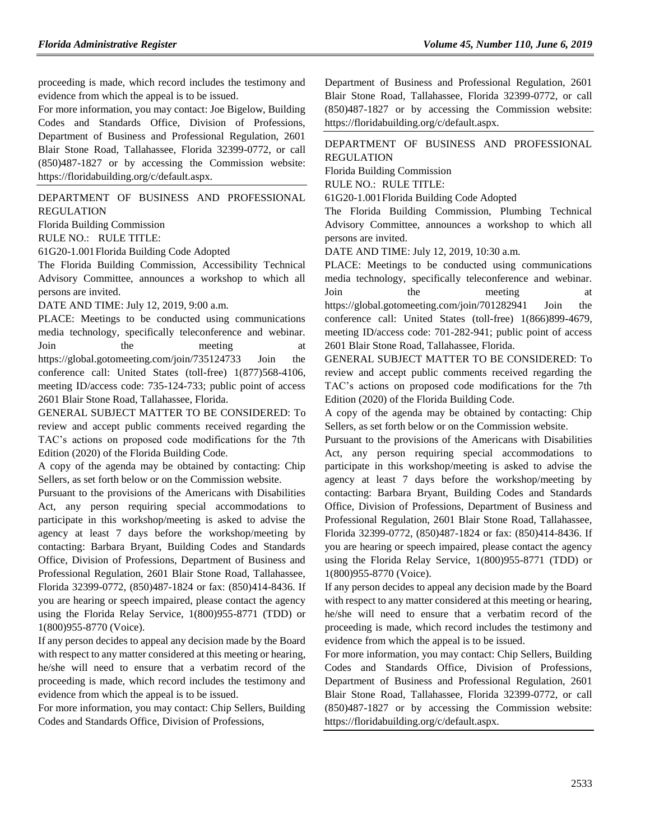proceeding is made, which record includes the testimony and evidence from which the appeal is to be issued.

For more information, you may contact: Joe Bigelow, Building Codes and Standards Office, Division of Professions, Department of Business and Professional Regulation, 2601 Blair Stone Road, Tallahassee, Florida 32399-0772, or call (850)487-1827 or by accessing the Commission website: https://floridabuilding.org/c/default.aspx.

[DEPARTMENT OF BUSINESS AND PROFESSIONAL](https://www.flrules.org/gateway/department.asp?id=61)  [REGULATION](https://www.flrules.org/gateway/department.asp?id=61)

[Florida Building Commission](https://www.flrules.org/gateway/organization.asp?id=1071)

RULE NO.: RULE TITLE:

[61G20-1.001F](https://www.flrules.org/gateway/ruleNo.asp?id=61G20-1.001)lorida Building Code Adopted

The Florida Building Commission, Accessibility Technical Advisory Committee, announces a workshop to which all persons are invited.

DATE AND TIME: July 12, 2019, 9:00 a.m.

PLACE: Meetings to be conducted using communications media technology, specifically teleconference and webinar. Join the meeting at https://global.gotomeeting.com/join/735124733 Join the conference call: United States (toll-free) 1(877)568-4106, meeting ID/access code: 735-124-733; public point of access 2601 Blair Stone Road, Tallahassee, Florida.

GENERAL SUBJECT MATTER TO BE CONSIDERED: To review and accept public comments received regarding the TAC's actions on proposed code modifications for the 7th Edition (2020) of the Florida Building Code.

A copy of the agenda may be obtained by contacting: Chip Sellers, as set forth below or on the Commission website.

Pursuant to the provisions of the Americans with Disabilities Act, any person requiring special accommodations to participate in this workshop/meeting is asked to advise the agency at least 7 days before the workshop/meeting by contacting: Barbara Bryant, Building Codes and Standards Office, Division of Professions, Department of Business and Professional Regulation, 2601 Blair Stone Road, Tallahassee, Florida 32399-0772, (850)487-1824 or fax: (850)414-8436. If you are hearing or speech impaired, please contact the agency using the Florida Relay Service, 1(800)955-8771 (TDD) or 1(800)955-8770 (Voice).

If any person decides to appeal any decision made by the Board with respect to any matter considered at this meeting or hearing, he/she will need to ensure that a verbatim record of the proceeding is made, which record includes the testimony and evidence from which the appeal is to be issued.

For more information, you may contact: Chip Sellers, Building Codes and Standards Office, Division of Professions,

Department of Business and Professional Regulation, 2601 Blair Stone Road, Tallahassee, Florida 32399-0772, or call (850)487-1827 or by accessing the Commission website: https://floridabuilding.org/c/default.aspx.

[DEPARTMENT OF BUSINESS AND PROFESSIONAL](https://www.flrules.org/gateway/department.asp?id=61)  [REGULATION](https://www.flrules.org/gateway/department.asp?id=61)

[Florida Building Commission](https://www.flrules.org/gateway/organization.asp?id=1071)

RULE NO.: RULE TITLE:

[61G20-1.001F](https://www.flrules.org/gateway/ruleNo.asp?id=61G20-1.001)lorida Building Code Adopted

The Florida Building Commission, Plumbing Technical Advisory Committee, announces a workshop to which all persons are invited.

DATE AND TIME: July 12, 2019, 10:30 a.m.

PLACE: Meetings to be conducted using communications media technology, specifically teleconference and webinar. Join the meeting at https://global.gotomeeting.com/join/701282941 Join the conference call: United States (toll-free) 1(866)899-4679, meeting ID/access code: 701-282-941; public point of access 2601 Blair Stone Road, Tallahassee, Florida.

GENERAL SUBJECT MATTER TO BE CONSIDERED: To review and accept public comments received regarding the TAC's actions on proposed code modifications for the 7th Edition (2020) of the Florida Building Code.

A copy of the agenda may be obtained by contacting: Chip Sellers, as set forth below or on the Commission website.

Pursuant to the provisions of the Americans with Disabilities Act, any person requiring special accommodations to participate in this workshop/meeting is asked to advise the agency at least 7 days before the workshop/meeting by contacting: Barbara Bryant, Building Codes and Standards Office, Division of Professions, Department of Business and Professional Regulation, 2601 Blair Stone Road, Tallahassee, Florida 32399-0772, (850)487-1824 or fax: (850)414-8436. If you are hearing or speech impaired, please contact the agency using the Florida Relay Service, 1(800)955-8771 (TDD) or 1(800)955-8770 (Voice).

If any person decides to appeal any decision made by the Board with respect to any matter considered at this meeting or hearing, he/she will need to ensure that a verbatim record of the proceeding is made, which record includes the testimony and evidence from which the appeal is to be issued.

For more information, you may contact: Chip Sellers, Building Codes and Standards Office, Division of Professions, Department of Business and Professional Regulation, 2601 Blair Stone Road, Tallahassee, Florida 32399-0772, or call (850)487-1827 or by accessing the Commission website: https://floridabuilding.org/c/default.aspx.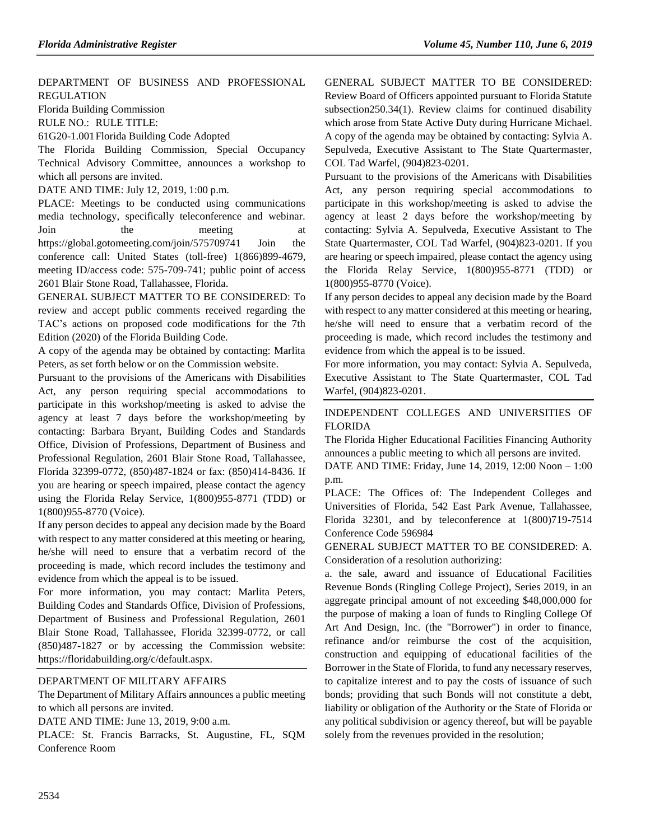## [DEPARTMENT OF BUSINESS AND PROFESSIONAL](https://www.flrules.org/gateway/department.asp?id=61)  [REGULATION](https://www.flrules.org/gateway/department.asp?id=61)

[Florida Building Commission](https://www.flrules.org/gateway/organization.asp?id=1071)

RULE NO.: RULE TITLE:

[61G20-1.001F](https://www.flrules.org/gateway/ruleNo.asp?id=61G20-1.001)lorida Building Code Adopted

The Florida Building Commission, Special Occupancy Technical Advisory Committee, announces a workshop to which all persons are invited.

DATE AND TIME: July 12, 2019, 1:00 p.m.

PLACE: Meetings to be conducted using communications media technology, specifically teleconference and webinar. Join the meeting at https://global.gotomeeting.com/join/575709741 Join the conference call: United States (toll-free) 1(866)899-4679, meeting ID/access code: 575-709-741; public point of access 2601 Blair Stone Road, Tallahassee, Florida.

GENERAL SUBJECT MATTER TO BE CONSIDERED: To review and accept public comments received regarding the TAC's actions on proposed code modifications for the 7th Edition (2020) of the Florida Building Code.

A copy of the agenda may be obtained by contacting: Marlita Peters, as set forth below or on the Commission website.

Pursuant to the provisions of the Americans with Disabilities Act, any person requiring special accommodations to participate in this workshop/meeting is asked to advise the agency at least 7 days before the workshop/meeting by contacting: Barbara Bryant, Building Codes and Standards Office, Division of Professions, Department of Business and Professional Regulation, 2601 Blair Stone Road, Tallahassee, Florida 32399-0772, (850)487-1824 or fax: (850)414-8436. If you are hearing or speech impaired, please contact the agency using the Florida Relay Service, 1(800)955-8771 (TDD) or 1(800)955-8770 (Voice).

If any person decides to appeal any decision made by the Board with respect to any matter considered at this meeting or hearing, he/she will need to ensure that a verbatim record of the proceeding is made, which record includes the testimony and evidence from which the appeal is to be issued.

For more information, you may contact: Marlita Peters, Building Codes and Standards Office, Division of Professions, Department of Business and Professional Regulation, 2601 Blair Stone Road, Tallahassee, Florida 32399-0772, or call (850)487-1827 or by accessing the Commission website: https://floridabuilding.org/c/default.aspx.

## [DEPARTMENT OF MILITARY AFFAIRS](https://www.flrules.org/gateway/department.asp?id=70)

The Department of Military Affairs announces a public meeting to which all persons are invited.

DATE AND TIME: June 13, 2019, 9:00 a.m.

PLACE: St. Francis Barracks, St. Augustine, FL, SQM Conference Room

GENERAL SUBJECT MATTER TO BE CONSIDERED: Review Board of Officers appointed pursuant to Florida Statute subsection250.34(1). Review claims for continued disability which arose from State Active Duty during Hurricane Michael. A copy of the agenda may be obtained by contacting: Sylvia A. Sepulveda, Executive Assistant to The State Quartermaster, COL Tad Warfel, (904)823-0201.

Pursuant to the provisions of the Americans with Disabilities Act, any person requiring special accommodations to participate in this workshop/meeting is asked to advise the agency at least 2 days before the workshop/meeting by contacting: Sylvia A. Sepulveda, Executive Assistant to The State Quartermaster, COL Tad Warfel, (904)823-0201. If you are hearing or speech impaired, please contact the agency using the Florida Relay Service, 1(800)955-8771 (TDD) or 1(800)955-8770 (Voice).

If any person decides to appeal any decision made by the Board with respect to any matter considered at this meeting or hearing, he/she will need to ensure that a verbatim record of the proceeding is made, which record includes the testimony and evidence from which the appeal is to be issued.

For more information, you may contact: Sylvia A. Sepulveda, Executive Assistant to The State Quartermaster, COL Tad Warfel, (904)823-0201.

## [INDEPENDENT COLLEGES AND UNIVERSITIES OF](https://www.flrules.org/gateway/organization.asp?id=795)  [FLORIDA](https://www.flrules.org/gateway/organization.asp?id=795)

The Florida Higher Educational Facilities Financing Authority announces a public meeting to which all persons are invited.

DATE AND TIME: Friday, June 14, 2019, 12:00 Noon – 1:00 p.m.

PLACE: The Offices of: The Independent Colleges and Universities of Florida, 542 East Park Avenue, Tallahassee, Florida 32301, and by teleconference at 1(800)719-7514 Conference Code 596984

GENERAL SUBJECT MATTER TO BE CONSIDERED: A. Consideration of a resolution authorizing:

a. the sale, award and issuance of Educational Facilities Revenue Bonds (Ringling College Project), Series 2019, in an aggregate principal amount of not exceeding \$48,000,000 for the purpose of making a loan of funds to Ringling College Of Art And Design, Inc. (the "Borrower") in order to finance, refinance and/or reimburse the cost of the acquisition, construction and equipping of educational facilities of the Borrower in the State of Florida, to fund any necessary reserves, to capitalize interest and to pay the costs of issuance of such bonds; providing that such Bonds will not constitute a debt, liability or obligation of the Authority or the State of Florida or any political subdivision or agency thereof, but will be payable solely from the revenues provided in the resolution;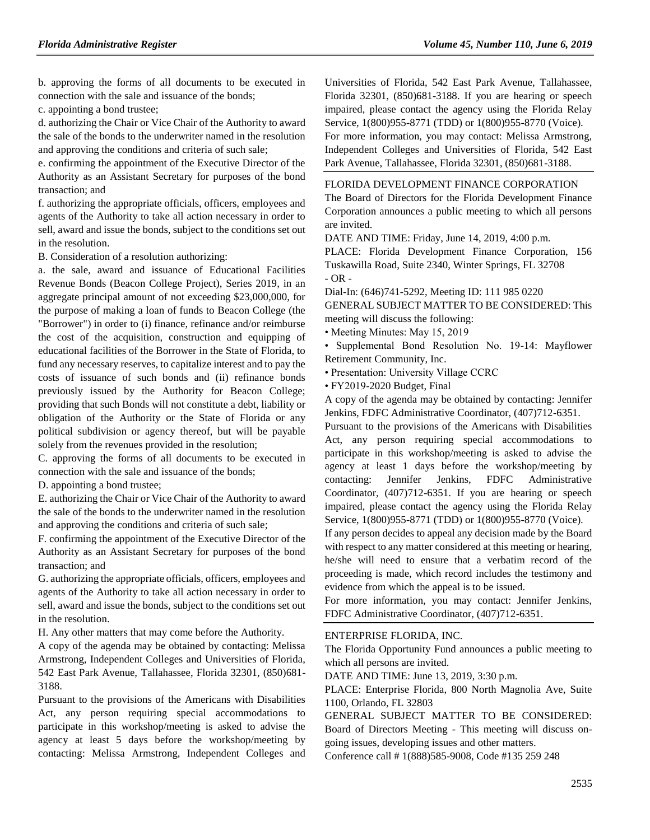b. approving the forms of all documents to be executed in connection with the sale and issuance of the bonds;

c. appointing a bond trustee;

d. authorizing the Chair or Vice Chair of the Authority to award the sale of the bonds to the underwriter named in the resolution and approving the conditions and criteria of such sale;

e. confirming the appointment of the Executive Director of the Authority as an Assistant Secretary for purposes of the bond transaction; and

f. authorizing the appropriate officials, officers, employees and agents of the Authority to take all action necessary in order to sell, award and issue the bonds, subject to the conditions set out in the resolution.

B. Consideration of a resolution authorizing:

a. the sale, award and issuance of Educational Facilities Revenue Bonds (Beacon College Project), Series 2019, in an aggregate principal amount of not exceeding \$23,000,000, for the purpose of making a loan of funds to Beacon College (the "Borrower") in order to (i) finance, refinance and/or reimburse the cost of the acquisition, construction and equipping of educational facilities of the Borrower in the State of Florida, to fund any necessary reserves, to capitalize interest and to pay the costs of issuance of such bonds and (ii) refinance bonds previously issued by the Authority for Beacon College; providing that such Bonds will not constitute a debt, liability or obligation of the Authority or the State of Florida or any political subdivision or agency thereof, but will be payable solely from the revenues provided in the resolution;

C. approving the forms of all documents to be executed in connection with the sale and issuance of the bonds;

D. appointing a bond trustee;

E. authorizing the Chair or Vice Chair of the Authority to award the sale of the bonds to the underwriter named in the resolution and approving the conditions and criteria of such sale;

F. confirming the appointment of the Executive Director of the Authority as an Assistant Secretary for purposes of the bond transaction; and

G. authorizing the appropriate officials, officers, employees and agents of the Authority to take all action necessary in order to sell, award and issue the bonds, subject to the conditions set out in the resolution.

H. Any other matters that may come before the Authority.

A copy of the agenda may be obtained by contacting: Melissa Armstrong, Independent Colleges and Universities of Florida, 542 East Park Avenue, Tallahassee, Florida 32301, (850)681- 3188.

Pursuant to the provisions of the Americans with Disabilities Act, any person requiring special accommodations to participate in this workshop/meeting is asked to advise the agency at least 5 days before the workshop/meeting by contacting: Melissa Armstrong, Independent Colleges and Universities of Florida, 542 East Park Avenue, Tallahassee, Florida 32301, (850)681-3188. If you are hearing or speech impaired, please contact the agency using the Florida Relay Service, 1(800)955-8771 (TDD) or 1(800)955-8770 (Voice).

For more information, you may contact: Melissa Armstrong, Independent Colleges and Universities of Florida, 542 East Park Avenue, Tallahassee, Florida 32301, (850)681-3188.

## [FLORIDA DEVELOPMENT FINANCE CORPORATION](https://www.flrules.org/gateway/organization.asp?id=941)

The Board of Directors for the Florida Development Finance Corporation announces a public meeting to which all persons are invited.

DATE AND TIME: Friday, June 14, 2019, 4:00 p.m.

PLACE: Florida Development Finance Corporation, 156 Tuskawilla Road, Suite 2340, Winter Springs, FL 32708  $- OR -$ 

Dial-In: (646)741-5292, Meeting ID: 111 985 0220 GENERAL SUBJECT MATTER TO BE CONSIDERED: This meeting will discuss the following:

• Meeting Minutes: May 15, 2019

• Supplemental Bond Resolution No. 19-14: Mayflower Retirement Community, Inc.

• Presentation: University Village CCRC

• FY2019-2020 Budget, Final

A copy of the agenda may be obtained by contacting: Jennifer Jenkins, FDFC Administrative Coordinator, (407)712-6351.

Pursuant to the provisions of the Americans with Disabilities Act, any person requiring special accommodations to participate in this workshop/meeting is asked to advise the agency at least 1 days before the workshop/meeting by contacting: Jennifer Jenkins, FDFC Administrative Coordinator, (407)712-6351. If you are hearing or speech impaired, please contact the agency using the Florida Relay Service, 1(800)955-8771 (TDD) or 1(800)955-8770 (Voice).

If any person decides to appeal any decision made by the Board with respect to any matter considered at this meeting or hearing, he/she will need to ensure that a verbatim record of the proceeding is made, which record includes the testimony and evidence from which the appeal is to be issued.

For more information, you may contact: Jennifer Jenkins, FDFC Administrative Coordinator, (407)712-6351.

## [ENTERPRISE FLORIDA, INC.](https://www.flrules.org/gateway/organization.asp?id=680)

The Florida Opportunity Fund announces a public meeting to which all persons are invited.

DATE AND TIME: June 13, 2019, 3:30 p.m.

PLACE: Enterprise Florida, 800 North Magnolia Ave, Suite 1100, Orlando, FL 32803

GENERAL SUBJECT MATTER TO BE CONSIDERED: Board of Directors Meeting - This meeting will discuss ongoing issues, developing issues and other matters.

Conference call # 1(888)585-9008, Code #135 259 248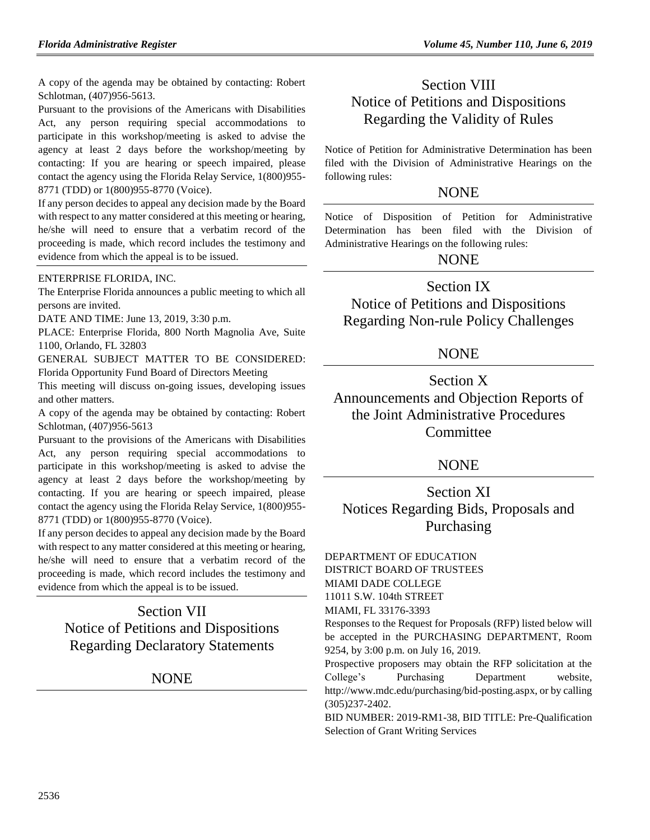A copy of the agenda may be obtained by contacting: Robert Schlotman, (407)956-5613.

Pursuant to the provisions of the Americans with Disabilities Act, any person requiring special accommodations to participate in this workshop/meeting is asked to advise the agency at least 2 days before the workshop/meeting by contacting: If you are hearing or speech impaired, please contact the agency using the Florida Relay Service, 1(800)955- 8771 (TDD) or 1(800)955-8770 (Voice).

If any person decides to appeal any decision made by the Board with respect to any matter considered at this meeting or hearing, he/she will need to ensure that a verbatim record of the proceeding is made, which record includes the testimony and evidence from which the appeal is to be issued.

#### [ENTERPRISE FLORIDA, INC.](https://www.flrules.org/gateway/organization.asp?id=680)

The Enterprise Florida announces a public meeting to which all persons are invited.

DATE AND TIME: June 13, 2019, 3:30 p.m.

PLACE: Enterprise Florida, 800 North Magnolia Ave, Suite 1100, Orlando, FL 32803

GENERAL SUBJECT MATTER TO BE CONSIDERED: Florida Opportunity Fund Board of Directors Meeting

This meeting will discuss on-going issues, developing issues and other matters.

A copy of the agenda may be obtained by contacting: Robert Schlotman, (407)956-5613

Pursuant to the provisions of the Americans with Disabilities Act, any person requiring special accommodations to participate in this workshop/meeting is asked to advise the agency at least 2 days before the workshop/meeting by contacting. If you are hearing or speech impaired, please contact the agency using the Florida Relay Service, 1(800)955- 8771 (TDD) or 1(800)955-8770 (Voice).

If any person decides to appeal any decision made by the Board with respect to any matter considered at this meeting or hearing, he/she will need to ensure that a verbatim record of the proceeding is made, which record includes the testimony and evidence from which the appeal is to be issued.

# Section VII Notice of Petitions and Dispositions Regarding Declaratory Statements

## **NONE**

# Section VIII Notice of Petitions and Dispositions Regarding the Validity of Rules

Notice of Petition for Administrative Determination has been filed with the Division of Administrative Hearings on the following rules:

## **NONE**

Notice of Disposition of Petition for Administrative Determination has been filed with the Division of Administrative Hearings on the following rules:

## NONE

## Section IX

Notice of Petitions and Dispositions Regarding Non-rule Policy Challenges

## NONE

Section X Announcements and Objection Reports of the Joint Administrative Procedures **Committee** 

## NONE

Section XI Notices Regarding Bids, Proposals and Purchasing

## [DEPARTMENT OF EDUCATION](https://www.flrules.org/gateway/department.asp?id=6)

DISTRICT BOARD OF TRUSTEES MIAMI DADE COLLEGE 11011 S.W. 104th STREET

MIAMI, FL 33176-3393

Responses to the Request for Proposals (RFP) listed below will be accepted in the PURCHASING DEPARTMENT, Room 9254, by 3:00 p.m. on July 16, 2019.

Prospective proposers may obtain the RFP solicitation at the College's Purchasing Department website, http://www.mdc.edu/purchasing/bid-posting.aspx, or by calling (305)237-2402.

BID NUMBER: 2019-RM1-38, BID TITLE: Pre-Qualification Selection of Grant Writing Services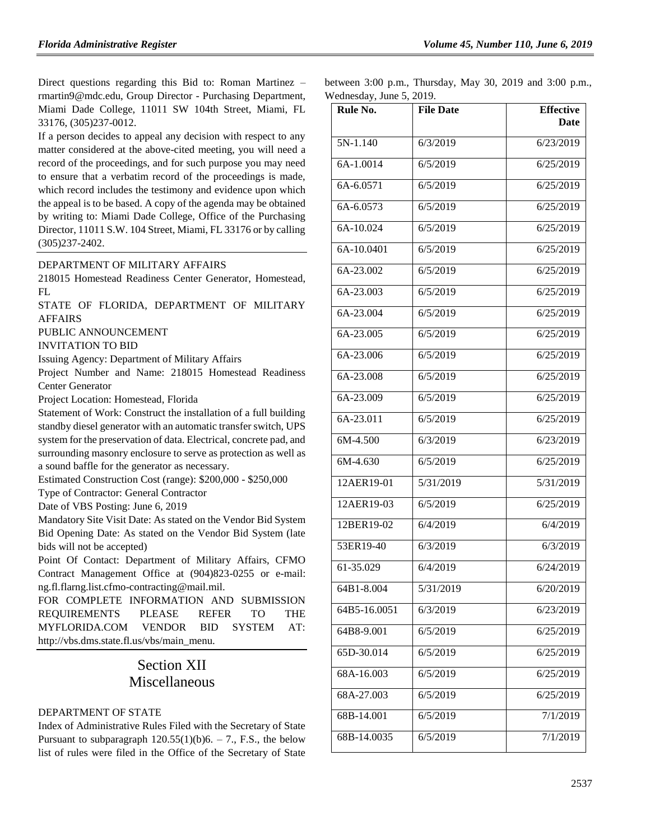Direct questions regarding this Bid to: Roman Martinez – rmartin9@mdc.edu, Group Director - Purchasing Department, Miami Dade College, 11011 SW 104th Street, Miami, FL 33176, (305)237-0012.

If a person decides to appeal any decision with respect to any matter considered at the above-cited meeting, you will need a record of the proceedings, and for such purpose you may need to ensure that a verbatim record of the proceedings is made, which record includes the testimony and evidence upon which the appeal is to be based. A copy of the agenda may be obtained by writing to: Miami Dade College, Office of the Purchasing Director, 11011 S.W. 104 Street, Miami, FL 33176 or by calling (305)237-2402.

## [DEPARTMENT OF MILITARY AFFAIRS](https://www.flrules.org/gateway/department.asp?id=70)

218015 Homestead Readiness Center Generator, Homestead, FL

STATE OF FLORIDA, DEPARTMENT OF MILITARY AFFAIRS

PUBLIC ANNOUNCEMENT

INVITATION TO BID

Issuing Agency: Department of Military Affairs

Project Number and Name: 218015 Homestead Readiness Center Generator

Project Location: Homestead, Florida

Statement of Work: Construct the installation of a full building standby diesel generator with an automatic transfer switch, UPS system for the preservation of data. Electrical, concrete pad, and surrounding masonry enclosure to serve as protection as well as a sound baffle for the generator as necessary.

Estimated Construction Cost (range): \$200,000 - \$250,000

Type of Contractor: General Contractor

Date of VBS Posting: June 6, 2019

Mandatory Site Visit Date: As stated on the Vendor Bid System Bid Opening Date: As stated on the Vendor Bid System (late bids will not be accepted)

Point Of Contact: Department of Military Affairs, CFMO Contract Management Office at (904)823-0255 or e-mail: ng.fl.flarng.list.cfmo-contracting@mail.mil.

FOR COMPLETE INFORMATION AND SUBMISSION REQUIREMENTS PLEASE REFER TO THE MYFLORIDA.COM VENDOR BID SYSTEM AT: http://vbs.dms.state.fl.us/vbs/main\_menu.

# Section XII Miscellaneous

## [DEPARTMENT OF STATE](https://www.flrules.org/gateway/department.asp?id=1)

Index of Administrative Rules Filed with the Secretary of State Pursuant to subparagraph  $120.55(1)(b)6. - 7$ ., F.S., the below list of rules were filed in the Office of the Secretary of State between 3:00 p.m., Thursday, May 30, 2019 and 3:00 p.m., Wednesday, June 5, 2019.

| $\ldots$ concounty, sance $\omega$ , $\omega$ .<br>Rule No. | <b>File Date</b> | <b>Effective</b> |
|-------------------------------------------------------------|------------------|------------------|
|                                                             |                  | Date             |
| 5N-1.140                                                    | 6/3/2019         | 6/23/2019        |
| 6A-1.0014                                                   | 6/5/2019         | 6/25/2019        |
| 6A-6.0571                                                   | 6/5/2019         | 6/25/2019        |
| 6A-6.0573                                                   | 6/5/2019         | 6/25/2019        |
| 6A-10.024                                                   | 6/5/2019         | 6/25/2019        |
| 6A-10.0401                                                  | 6/5/2019         | 6/25/2019        |
| 6A-23.002                                                   | 6/5/2019         | 6/25/2019        |
| 6A-23.003                                                   | 6/5/2019         | 6/25/2019        |
| 6A-23.004                                                   | 6/5/2019         | 6/25/2019        |
| 6A-23.005                                                   | 6/5/2019         | 6/25/2019        |
| 6A-23.006                                                   | 6/5/2019         | 6/25/2019        |
| 6A-23.008                                                   | 6/5/2019         | 6/25/2019        |
| 6A-23.009                                                   | 6/5/2019         | 6/25/2019        |
| 6A-23.011                                                   | 6/5/2019         | 6/25/2019        |
| 6M-4.500                                                    | 6/3/2019         | 6/23/2019        |
| 6M-4.630                                                    | 6/5/2019         | 6/25/2019        |
| 12AER19-01                                                  | 5/31/2019        | 5/31/2019        |
| 12AER19-03                                                  | 6/5/2019         | 6/25/2019        |
| 12BER19-02                                                  | 6/4/2019         | 6/4/2019         |
| 53ER19-40                                                   | 6/3/2019         | 6/3/2019         |
| 61-35.029                                                   | 6/4/2019         | 6/24/2019        |
| 64B1-8.004                                                  | 5/31/2019        | 6/20/2019        |
| 64B5-16.0051                                                | 6/3/2019         | 6/23/2019        |
| 64B8-9.001                                                  | 6/5/2019         | 6/25/2019        |
| 65D-30.014                                                  | 6/5/2019         | 6/25/2019        |
| 68A-16.003                                                  | 6/5/2019         | 6/25/2019        |
| 68A-27.003                                                  | 6/5/2019         | 6/25/2019        |
| 68B-14.001                                                  | 6/5/2019         | 7/1/2019         |
| 68B-14.0035                                                 | 6/5/2019         | 7/1/2019         |